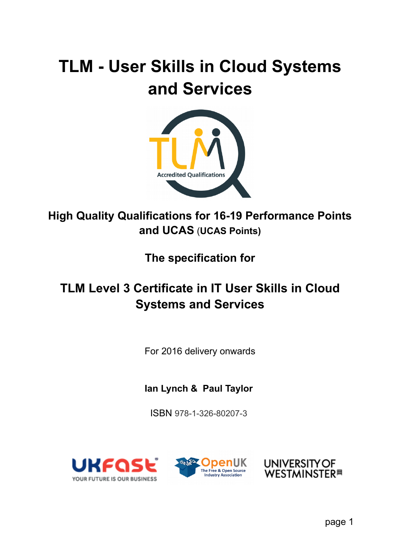# **TLM - User Skills in Cloud Systems and Services**



## **High Quality Qualifications for 16-19 Performance Points and UCAS** (**UCAS Points)**

**The specification for**

## **TLM Level 3 Certificate in IT User Skills in Cloud Systems and Services**

For 2016 delivery onwards

**Ian Lynch & Paul Taylor** 

ISBN 978-1-326-80207-3





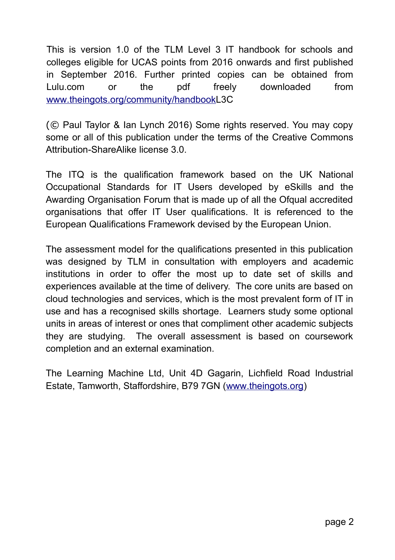This is version 1.0 of the TLM Level 3 IT handbook for schools and colleges eligible for UCAS points from 2016 onwards and first published in September 2016. Further printed copies can be obtained from Lulu.com or the pdf freely downloaded from www.theingots.org/community/handbookL3C

(© Paul Taylor & Ian Lynch 2016) Some rights reserved. You may copy some or all of this publication under the terms of the Creative Commons Attribution-ShareAlike license 3.0.

The ITQ is the qualification framework based on the UK National Occupational Standards for IT Users developed by eSkills and the Awarding Organisation Forum that is made up of all the Ofqual accredited organisations that offer IT User qualifications. It is referenced to the European Qualifications Framework devised by the European Union.

The assessment model for the qualifications presented in this publication was designed by TLM in consultation with employers and academic institutions in order to offer the most up to date set of skills and experiences available at the time of delivery. The core units are based on cloud technologies and services, which is the most prevalent form of IT in use and has a recognised skills shortage. Learners study some optional units in areas of interest or ones that compliment other academic subjects they are studying. The overall assessment is based on coursework completion and an external examination.

The Learning Machine Ltd, Unit 4D Gagarin, Lichfield Road Industrial Estate, Tamworth, Staffordshire, B79 7GN (www.theingots.org)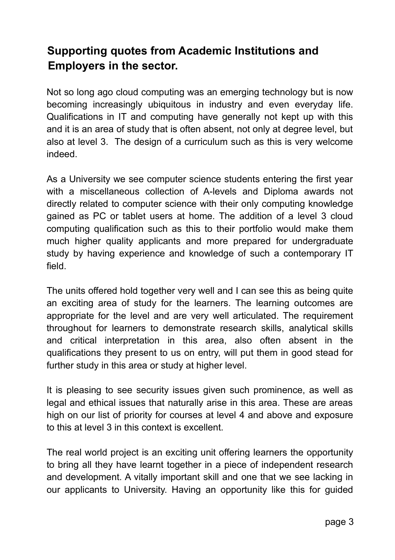## **Supporting quotes from Academic Institutions and Employers in the sector.**

Not so long ago cloud computing was an emerging technology but is now becoming increasingly ubiquitous in industry and even everyday life. Qualifications in IT and computing have generally not kept up with this and it is an area of study that is often absent, not only at degree level, but also at level 3. The design of a curriculum such as this is very welcome indeed.

As a University we see computer science students entering the first year with a miscellaneous collection of A-levels and Diploma awards not directly related to computer science with their only computing knowledge gained as PC or tablet users at home. The addition of a level 3 cloud computing qualification such as this to their portfolio would make them much higher quality applicants and more prepared for undergraduate study by having experience and knowledge of such a contemporary IT field.

The units offered hold together very well and I can see this as being quite an exciting area of study for the learners. The learning outcomes are appropriate for the level and are very well articulated. The requirement throughout for learners to demonstrate research skills, analytical skills and critical interpretation in this area, also often absent in the qualifications they present to us on entry, will put them in good stead for further study in this area or study at higher level.

It is pleasing to see security issues given such prominence, as well as legal and ethical issues that naturally arise in this area. These are areas high on our list of priority for courses at level 4 and above and exposure to this at level 3 in this context is excellent.

The real world project is an exciting unit offering learners the opportunity to bring all they have learnt together in a piece of independent research and development. A vitally important skill and one that we see lacking in our applicants to University. Having an opportunity like this for guided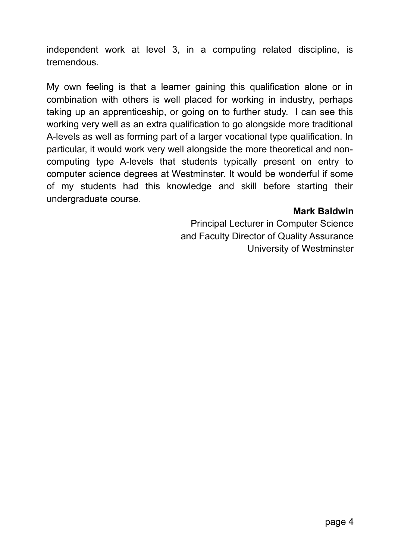independent work at level 3, in a computing related discipline, is tremendous.

My own feeling is that a learner gaining this qualification alone or in combination with others is well placed for working in industry, perhaps taking up an apprenticeship, or going on to further study. I can see this working very well as an extra qualification to go alongside more traditional A-levels as well as forming part of a larger vocational type qualification. In particular, it would work very well alongside the more theoretical and noncomputing type A-levels that students typically present on entry to computer science degrees at Westminster. It would be wonderful if some of my students had this knowledge and skill before starting their undergraduate course.

#### **Mark Baldwin**

Principal Lecturer in Computer Science and Faculty Director of Quality Assurance University of Westminster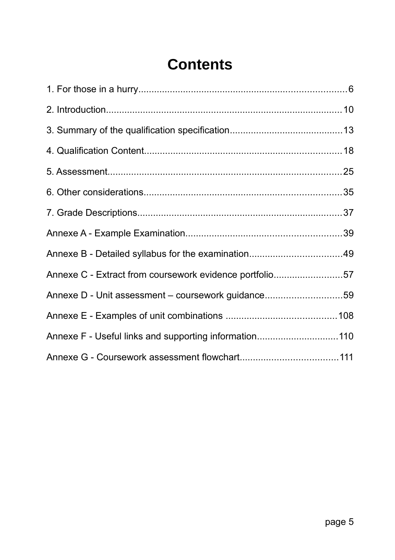## **Contents**

| Annexe C - Extract from coursework evidence portfolio57 |  |
|---------------------------------------------------------|--|
| Annexe D - Unit assessment - coursework guidance59      |  |
|                                                         |  |
| Annexe F - Useful links and supporting information110   |  |
|                                                         |  |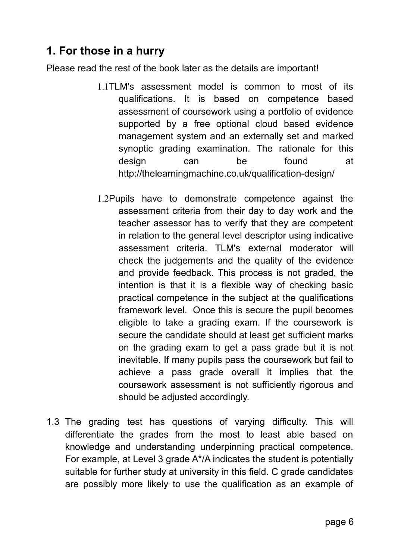## **1. For those in a hurry**

Please read the rest of the book later as the details are important!

- 1.1TLM's assessment model is common to most of its qualifications. It is based on competence based assessment of coursework using a portfolio of evidence supported by a free optional cloud based evidence management system and an externally set and marked synoptic grading examination. The rationale for this design can be found at http://thelearningmachine.co.uk/qualification-design/
- 1.2Pupils have to demonstrate competence against the assessment criteria from their day to day work and the teacher assessor has to verify that they are competent in relation to the general level descriptor using indicative assessment criteria. TLM's external moderator will check the judgements and the quality of the evidence and provide feedback. This process is not graded, the intention is that it is a flexible way of checking basic practical competence in the subject at the qualifications framework level. Once this is secure the pupil becomes eligible to take a grading exam. If the coursework is secure the candidate should at least get sufficient marks on the grading exam to get a pass grade but it is not inevitable. If many pupils pass the coursework but fail to achieve a pass grade overall it implies that the coursework assessment is not sufficiently rigorous and should be adjusted accordingly.
- 1.3 The grading test has questions of varying difficulty. This will differentiate the grades from the most to least able based on knowledge and understanding underpinning practical competence. For example, at Level 3 grade A\*/A indicates the student is potentially suitable for further study at university in this field. C grade candidates are possibly more likely to use the qualification as an example of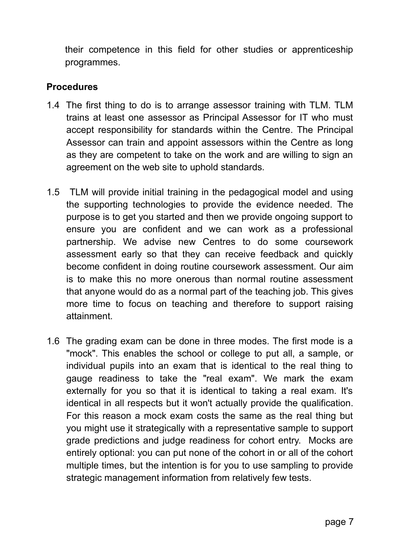their competence in this field for other studies or apprenticeship programmes.

#### **Procedures**

- 1.4 The first thing to do is to arrange assessor training with TLM. TLM trains at least one assessor as Principal Assessor for IT who must accept responsibility for standards within the Centre. The Principal Assessor can train and appoint assessors within the Centre as long as they are competent to take on the work and are willing to sign an agreement on the web site to uphold standards.
- 1.5 TLM will provide initial training in the pedagogical model and using the supporting technologies to provide the evidence needed. The purpose is to get you started and then we provide ongoing support to ensure you are confident and we can work as a professional partnership. We advise new Centres to do some coursework assessment early so that they can receive feedback and quickly become confident in doing routine coursework assessment. Our aim is to make this no more onerous than normal routine assessment that anyone would do as a normal part of the teaching job. This gives more time to focus on teaching and therefore to support raising attainment.
- 1.6 The grading exam can be done in three modes. The first mode is a "mock". This enables the school or college to put all, a sample, or individual pupils into an exam that is identical to the real thing to gauge readiness to take the "real exam". We mark the exam externally for you so that it is identical to taking a real exam. It's identical in all respects but it won't actually provide the qualification. For this reason a mock exam costs the same as the real thing but you might use it strategically with a representative sample to support grade predictions and judge readiness for cohort entry. Mocks are entirely optional: you can put none of the cohort in or all of the cohort multiple times, but the intention is for you to use sampling to provide strategic management information from relatively few tests.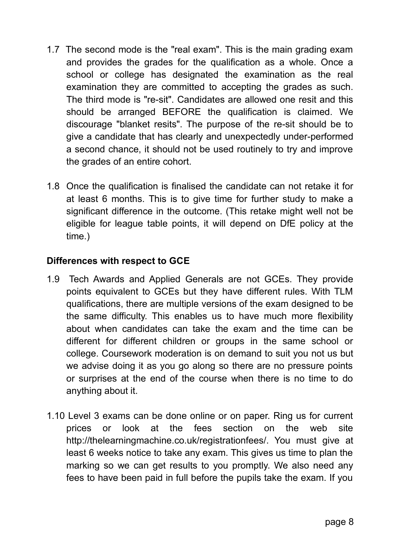- 1.7 The second mode is the "real exam". This is the main grading exam and provides the grades for the qualification as a whole. Once a school or college has designated the examination as the real examination they are committed to accepting the grades as such. The third mode is "re-sit". Candidates are allowed one resit and this should be arranged BEFORE the qualification is claimed. We discourage "blanket resits". The purpose of the re-sit should be to give a candidate that has clearly and unexpectedly under-performed a second chance, it should not be used routinely to try and improve the grades of an entire cohort.
- 1.8 Once the qualification is finalised the candidate can not retake it for at least 6 months. This is to give time for further study to make a significant difference in the outcome. (This retake might well not be eligible for league table points, it will depend on DfE policy at the time.)

#### **Differences with respect to GCE**

- 1.9 Tech Awards and Applied Generals are not GCEs. They provide points equivalent to GCEs but they have different rules. With TLM qualifications, there are multiple versions of the exam designed to be the same difficulty. This enables us to have much more flexibility about when candidates can take the exam and the time can be different for different children or groups in the same school or college. Coursework moderation is on demand to suit you not us but we advise doing it as you go along so there are no pressure points or surprises at the end of the course when there is no time to do anything about it.
- 1.10 Level 3 exams can be done online or on paper. Ring us for current prices or look at the fees section on the web site http://thelearningmachine.co.uk/registrationfees/. You must give at least 6 weeks notice to take any exam. This gives us time to plan the marking so we can get results to you promptly. We also need any fees to have been paid in full before the pupils take the exam. If you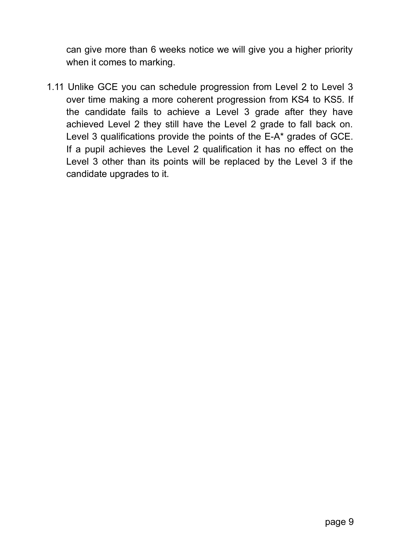can give more than 6 weeks notice we will give you a higher priority when it comes to marking.

1.11 Unlike GCE you can schedule progression from Level 2 to Level 3 over time making a more coherent progression from KS4 to KS5. If the candidate fails to achieve a Level 3 grade after they have achieved Level 2 they still have the Level 2 grade to fall back on. Level 3 qualifications provide the points of the E-A\* grades of GCE. If a pupil achieves the Level 2 qualification it has no effect on the Level 3 other than its points will be replaced by the Level 3 if the candidate upgrades to it.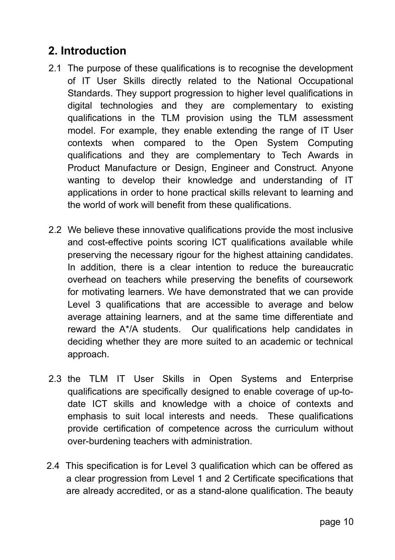## **2. Introduction**

- 2.1 The purpose of these qualifications is to recognise the development of IT User Skills directly related to the National Occupational Standards. They support progression to higher level qualifications in digital technologies and they are complementary to existing qualifications in the TLM provision using the TLM assessment model. For example, they enable extending the range of IT User contexts when compared to the Open System Computing qualifications and they are complementary to Tech Awards in Product Manufacture or Design, Engineer and Construct. Anyone wanting to develop their knowledge and understanding of IT applications in order to hone practical skills relevant to learning and the world of work will benefit from these qualifications.
- 2.2 We believe these innovative qualifications provide the most inclusive and cost-effective points scoring ICT qualifications available while preserving the necessary rigour for the highest attaining candidates. In addition, there is a clear intention to reduce the bureaucratic overhead on teachers while preserving the benefits of coursework for motivating learners. We have demonstrated that we can provide Level 3 qualifications that are accessible to average and below average attaining learners, and at the same time differentiate and reward the A\*/A students. Our qualifications help candidates in deciding whether they are more suited to an academic or technical approach.
- 2.3 the TLM IT User Skills in Open Systems and Enterprise qualifications are specifically designed to enable coverage of up-todate ICT skills and knowledge with a choice of contexts and emphasis to suit local interests and needs. These qualifications provide certification of competence across the curriculum without over-burdening teachers with administration.
- 2.4 This specification is for Level 3 qualification which can be offered as a clear progression from Level 1 and 2 Certificate specifications that are already accredited, or as a stand-alone qualification. The beauty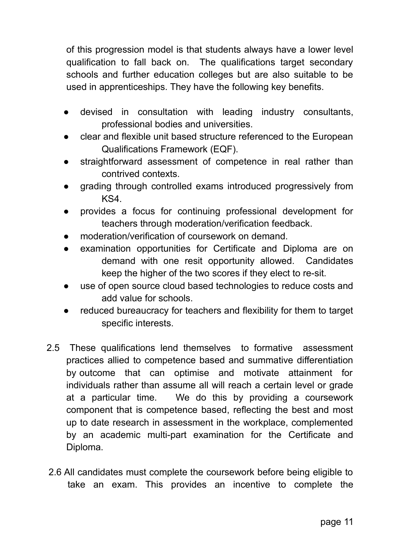of this progression model is that students always have a lower level qualification to fall back on. The qualifications target secondary schools and further education colleges but are also suitable to be used in apprenticeships. They have the following key benefits.

- devised in consultation with leading industry consultants, professional bodies and universities.
- clear and flexible unit based structure referenced to the European Qualifications Framework (EQF).
- straightforward assessment of competence in real rather than contrived contexts.
- grading through controlled exams introduced progressively from KS4.
- provides a focus for continuing professional development for teachers through moderation/verification feedback.
- moderation/verification of coursework on demand
- examination opportunities for Certificate and Diploma are on demand with one resit opportunity allowed. Candidates keep the higher of the two scores if they elect to re-sit.
- use of open source cloud based technologies to reduce costs and add value for schools.
- reduced bureaucracy for teachers and flexibility for them to target specific interests.
- 2.5 These qualifications lend themselves to formative assessment practices allied to competence based and summative differentiation by outcome that can optimise and motivate attainment for individuals rather than assume all will reach a certain level or grade at a particular time. We do this by providing a coursework component that is competence based, reflecting the best and most up to date research in assessment in the workplace, complemented by an academic multi-part examination for the Certificate and Diploma.
- 2.6 All candidates must complete the coursework before being eligible to take an exam. This provides an incentive to complete the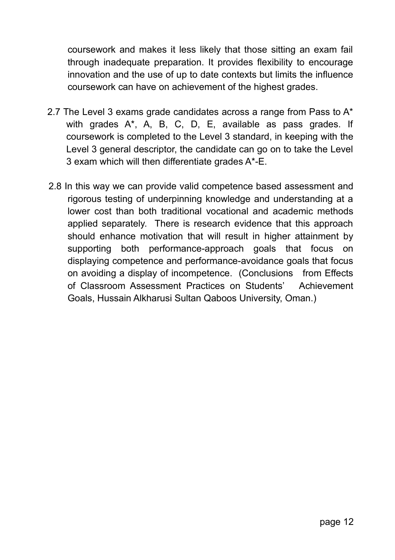coursework and makes it less likely that those sitting an exam fail through inadequate preparation. It provides flexibility to encourage innovation and the use of up to date contexts but limits the influence coursework can have on achievement of the highest grades.

- 2.7 The Level 3 exams grade candidates across a range from Pass to  $A^*$ with grades A\*, A, B, C, D, E, available as pass grades. If coursework is completed to the Level 3 standard, in keeping with the Level 3 general descriptor, the candidate can go on to take the Level 3 exam which will then differentiate grades A\*-E.
- 2.8 In this way we can provide valid competence based assessment and rigorous testing of underpinning knowledge and understanding at a lower cost than both traditional vocational and academic methods applied separately. There is research evidence that this approach should enhance motivation that will result in higher attainment by supporting both performance-approach goals that focus on displaying competence and performance-avoidance goals that focus on avoiding a display of incompetence. (Conclusions from Effects of Classroom Assessment Practices on Students' Achievement Goals, Hussain Alkharusi Sultan Qaboos University, Oman.)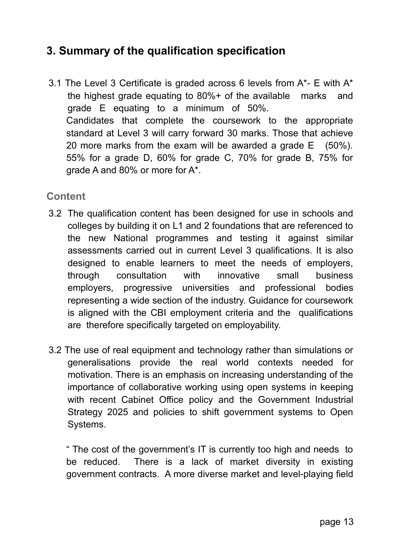## **3. Summary of the qualification specification**

3.1 The Level 3 Certificate is graded across 6 levels from  $A^*$ - E with  $A^*$ the highest grade equating to 80%+ of the available marks and grade E equating to a minimum of 50%. Candidates that complete the coursework to the appropriate standard at Level 3 will carry forward 30 marks. Those that achieve 20 more marks from the exam will be awarded a grade E (50%). 55% for a grade D, 60% for grade C, 70% for grade B, 75% for grade A and 80% or more for A\*.

#### **Content**

- 3.2 The qualification content has been designed for use in schools and colleges by building it on L1 and 2 foundations that are referenced to the new National programmes and testing it against similar assessments carried out in current Level 3 qualifications. It is also designed to enable learners to meet the needs of employers, through consultation with innovative small business employers, progressive universities and professional bodies representing a wide section of the industry. Guidance for coursework is aligned with the CBI employment criteria and the qualifications are therefore specifically targeted on employability.
- 3.2 The use of real equipment and technology rather than simulations or generalisations provide the real world contexts needed for motivation. There is an emphasis on increasing understanding of the importance of collaborative working using open systems in keeping with recent Cabinet Office policy and the Government Industrial Strategy 2025 and policies to shift government systems to Open Systems.

" The cost of the government's IT is currently too high and needs to be reduced. There is a lack of market diversity in existing government contracts. A more diverse market and level-playing field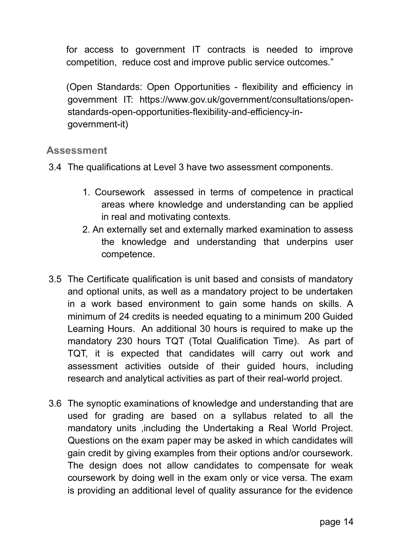for access to government IT contracts is needed to improve competition, reduce cost and improve public service outcomes."

(Open Standards: Open Opportunities - flexibility and efficiency in government IT: https://www.gov.uk/government/consultations/openstandards-open-opportunities-flexibility-and-efficiency-ingovernment-it)

#### **Assessment**

3.4 The qualifications at Level 3 have two assessment components.

- 1. Coursework assessed in terms of competence in practical areas where knowledge and understanding can be applied in real and motivating contexts.
- 2. An externally set and externally marked examination to assess the knowledge and understanding that underpins user competence.
- 3.5 The Certificate qualification is unit based and consists of mandatory and optional units, as well as a mandatory project to be undertaken in a work based environment to gain some hands on skills. A minimum of 24 credits is needed equating to a minimum 200 Guided Learning Hours. An additional 30 hours is required to make up the mandatory 230 hours TQT (Total Qualification Time). As part of TQT, it is expected that candidates will carry out work and assessment activities outside of their guided hours, including research and analytical activities as part of their real-world project.
- 3.6 The synoptic examinations of knowledge and understanding that are used for grading are based on a syllabus related to all the mandatory units ,including the Undertaking a Real World Project. Questions on the exam paper may be asked in which candidates will gain credit by giving examples from their options and/or coursework. The design does not allow candidates to compensate for weak coursework by doing well in the exam only or vice versa. The exam is providing an additional level of quality assurance for the evidence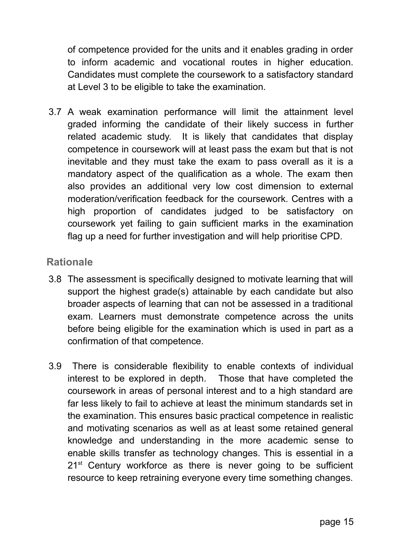of competence provided for the units and it enables grading in order to inform academic and vocational routes in higher education. Candidates must complete the coursework to a satisfactory standard at Level 3 to be eligible to take the examination.

3.7 A weak examination performance will limit the attainment level graded informing the candidate of their likely success in further related academic study. It is likely that candidates that display competence in coursework will at least pass the exam but that is not inevitable and they must take the exam to pass overall as it is a mandatory aspect of the qualification as a whole. The exam then also provides an additional very low cost dimension to external moderation/verification feedback for the coursework. Centres with a high proportion of candidates judged to be satisfactory on coursework yet failing to gain sufficient marks in the examination flag up a need for further investigation and will help prioritise CPD.

#### **Rationale**

- 3.8 The assessment is specifically designed to motivate learning that will support the highest grade(s) attainable by each candidate but also broader aspects of learning that can not be assessed in a traditional exam. Learners must demonstrate competence across the units before being eligible for the examination which is used in part as a confirmation of that competence.
- 3.9 There is considerable flexibility to enable contexts of individual interest to be explored in depth. Those that have completed the coursework in areas of personal interest and to a high standard are far less likely to fail to achieve at least the minimum standards set in the examination. This ensures basic practical competence in realistic and motivating scenarios as well as at least some retained general knowledge and understanding in the more academic sense to enable skills transfer as technology changes. This is essential in a  $21<sup>st</sup>$  Century workforce as there is never going to be sufficient resource to keep retraining everyone every time something changes.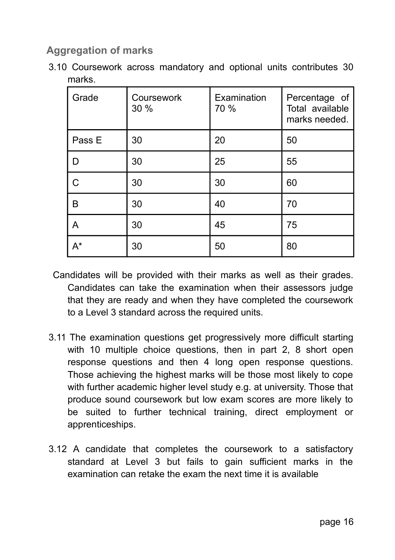### **Aggregation of marks**

3.10 Coursework across mandatory and optional units contributes 30 marks.

| Grade  | Coursework<br>30 % | Examination<br>70 % | Percentage of<br>Total available<br>marks needed. |
|--------|--------------------|---------------------|---------------------------------------------------|
| Pass E | 30                 | 20                  | 50                                                |
| D      | 30                 | 25                  | 55                                                |
| C      | 30                 | 30                  | 60                                                |
| B      | 30                 | 40                  | 70                                                |
| Α      | 30                 | 45                  | 75                                                |
| $A^*$  | 30                 | 50                  | 80                                                |

- Candidates will be provided with their marks as well as their grades. Candidates can take the examination when their assessors judge that they are ready and when they have completed the coursework to a Level 3 standard across the required units.
- 3.11 The examination questions get progressively more difficult starting with 10 multiple choice questions, then in part 2, 8 short open response questions and then 4 long open response questions. Those achieving the highest marks will be those most likely to cope with further academic higher level study e.g. at university. Those that produce sound coursework but low exam scores are more likely to be suited to further technical training, direct employment or apprenticeships.
- 3.12 A candidate that completes the coursework to a satisfactory standard at Level 3 but fails to gain sufficient marks in the examination can retake the exam the next time it is available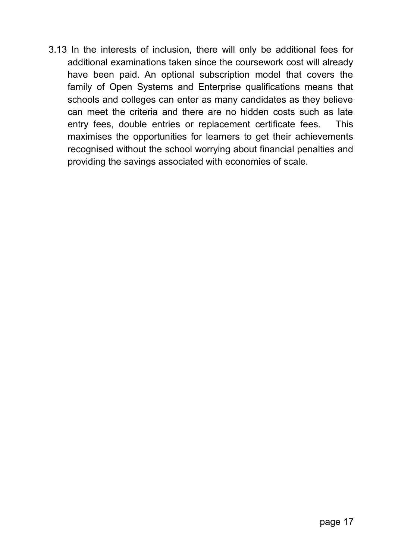3.13 In the interests of inclusion, there will only be additional fees for additional examinations taken since the coursework cost will already have been paid. An optional subscription model that covers the family of Open Systems and Enterprise qualifications means that schools and colleges can enter as many candidates as they believe can meet the criteria and there are no hidden costs such as late entry fees, double entries or replacement certificate fees. This maximises the opportunities for learners to get their achievements recognised without the school worrying about financial penalties and providing the savings associated with economies of scale.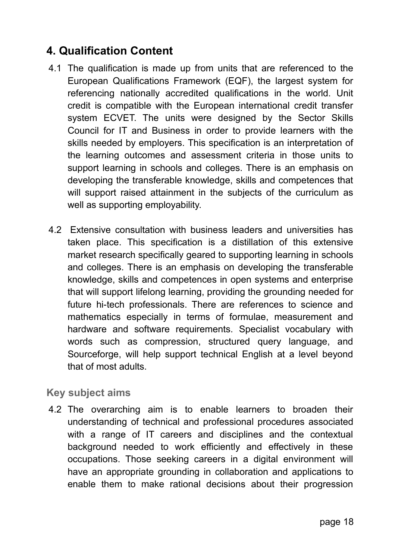## **4. Qualification Content**

- 4.1 The qualification is made up from units that are referenced to the European Qualifications Framework (EQF), the largest system for referencing nationally accredited qualifications in the world. Unit credit is compatible with the European international credit transfer system ECVET. The units were designed by the Sector Skills Council for IT and Business in order to provide learners with the skills needed by employers. This specification is an interpretation of the learning outcomes and assessment criteria in those units to support learning in schools and colleges. There is an emphasis on developing the transferable knowledge, skills and competences that will support raised attainment in the subjects of the curriculum as well as supporting employability.
- 4.2 Extensive consultation with business leaders and universities has taken place. This specification is a distillation of this extensive market research specifically geared to supporting learning in schools and colleges. There is an emphasis on developing the transferable knowledge, skills and competences in open systems and enterprise that will support lifelong learning, providing the grounding needed for future hi-tech professionals. There are references to science and mathematics especially in terms of formulae, measurement and hardware and software requirements. Specialist vocabulary with words such as compression, structured query language, and Sourceforge, will help support technical English at a level beyond that of most adults.

#### **Key subject aims**

4.2 The overarching aim is to enable learners to broaden their understanding of technical and professional procedures associated with a range of IT careers and disciplines and the contextual background needed to work efficiently and effectively in these occupations. Those seeking careers in a digital environment will have an appropriate grounding in collaboration and applications to enable them to make rational decisions about their progression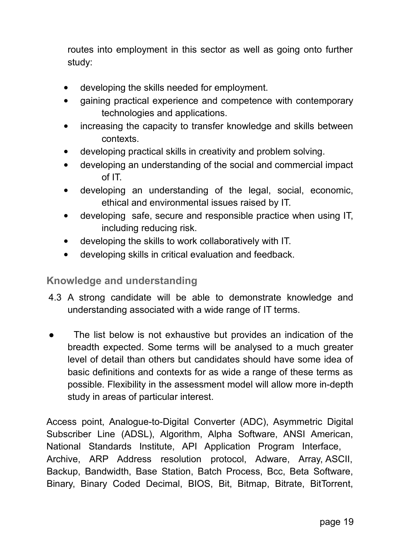routes into employment in this sector as well as going onto further study:

- developing the skills needed for employment.
- gaining practical experience and competence with contemporary technologies and applications.
- increasing the capacity to transfer knowledge and skills between contexts.
- developing practical skills in creativity and problem solving.
- developing an understanding of the social and commercial impact of IT.
- developing an understanding of the legal, social, economic, ethical and environmental issues raised by IT.
- developing safe, secure and responsible practice when using IT, including reducing risk.
- developing the skills to work collaboratively with IT.
- developing skills in critical evaluation and feedback.

#### **Knowledge and understanding**

- 4.3 A strong candidate will be able to demonstrate knowledge and understanding associated with a wide range of IT terms.
- The list below is not exhaustive but provides an indication of the breadth expected. Some terms will be analysed to a much greater level of detail than others but candidates should have some idea of basic definitions and contexts for as wide a range of these terms as possible. Flexibility in the assessment model will allow more in-depth study in areas of particular interest.

Access point, Analogue-to-Digital Converter (ADC), Asymmetric Digital Subscriber Line (ADSL), Algorithm, Alpha Software, ANSI American, National Standards Institute, API Application Program Interface, Archive, ARP Address resolution protocol, Adware, Array, ASCII, Backup, Bandwidth, Base Station, Batch Process, Bcc, Beta Software, Binary, Binary Coded Decimal, BIOS, Bit, Bitmap, Bitrate, BitTorrent,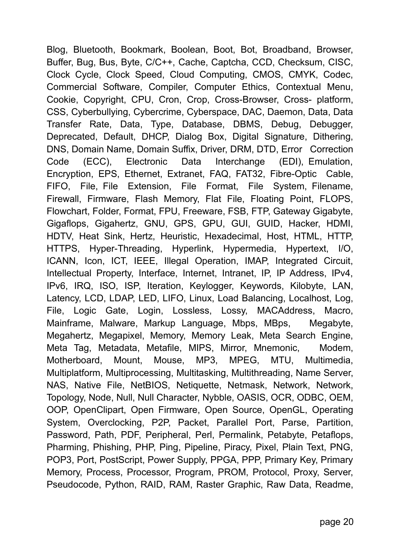Blog, Bluetooth, Bookmark, Boolean, Boot, Bot, Broadband, Browser, Buffer, Bug, Bus, Byte, C/C++, Cache, Captcha, CCD, Checksum, CISC, Clock Cycle, Clock Speed, Cloud Computing, CMOS, CMYK, Codec, Commercial Software, Compiler, Computer Ethics, Contextual Menu, Cookie, Copyright, CPU, Cron, Crop, Cross-Browser, Cross- platform, CSS, Cyberbullying, Cybercrime, Cyberspace, DAC, Daemon, Data, Data Transfer Rate, Data, Type, Database, DBMS, Debug, Debugger, Deprecated, Default, DHCP, Dialog Box, Digital Signature, Dithering, DNS, Domain Name, Domain Suffix, Driver, DRM, DTD, Error Correction Code (ECC), Electronic Data Interchange (EDI), Emulation, Encryption, EPS, Ethernet, Extranet, FAQ, FAT32, Fibre-Optic Cable, FIFO, File, File Extension, File Format, File System, Filename, Firewall, Firmware, Flash Memory, Flat File, Floating Point, FLOPS, Flowchart, Folder, Format, FPU, Freeware, FSB, FTP, Gateway Gigabyte, Gigaflops, Gigahertz, GNU, GPS, GPU, GUI, GUID, Hacker, HDMI, HDTV, Heat Sink, Hertz, Heuristic, Hexadecimal, Host, HTML, HTTP, HTTPS, Hyper-Threading, Hyperlink, Hypermedia, Hypertext, I/O, ICANN, Icon, ICT, IEEE, Illegal Operation, IMAP, Integrated Circuit, Intellectual Property, Interface, Internet, Intranet, IP, IP Address, IPv4, IPv6, IRQ, ISO, ISP, Iteration, Keylogger, Keywords, Kilobyte, LAN, Latency, LCD, LDAP, LED, LIFO, Linux, Load Balancing, Localhost, Log, File, Logic Gate, Login, Lossless, Lossy, MACAddress, Macro, Mainframe, Malware, Markup Language, Mbps, MBps, Megabyte, Megahertz, Megapixel, Memory, Memory Leak, Meta Search Engine, Meta Tag, Metadata, Metafile, MIPS, Mirror, Mnemonic, Modem, Motherboard, Mount, Mouse, MP3, MPEG, MTU, Multimedia, Multiplatform, Multiprocessing, Multitasking, Multithreading, Name Server, NAS, Native File, NetBIOS, Netiquette, Netmask, Network, Network, Topology, Node, Null, Null Character, Nybble, OASIS, OCR, ODBC, OEM, OOP, OpenClipart, Open Firmware, Open Source, OpenGL, Operating System, Overclocking, P2P, Packet, Parallel Port, Parse, Partition, Password, Path, PDF, Peripheral, Perl, Permalink, Petabyte, Petaflops, Pharming, Phishing, PHP, Ping, Pipeline, Piracy, Pixel, Plain Text, PNG, POP3, Port, PostScript, Power Supply, PPGA, PPP, Primary Key, Primary Memory, Process, Processor, Program, PROM, Protocol, Proxy, Server, Pseudocode, Python, RAID, RAM, Raster Graphic, Raw Data, Readme,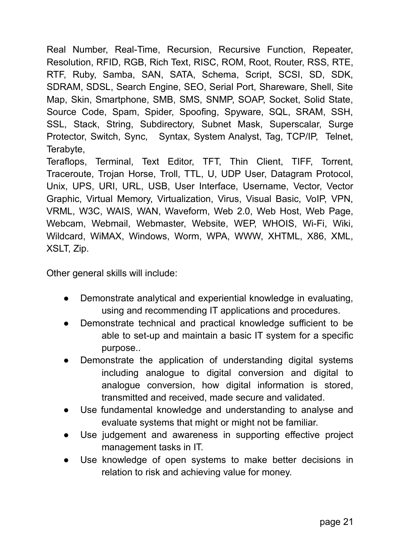Real Number, Real-Time, Recursion, Recursive Function, Repeater, Resolution, RFID, RGB, Rich Text, RISC, ROM, Root, Router, RSS, RTE, RTF, Ruby, Samba, SAN, SATA, Schema, Script, SCSI, SD, SDK, SDRAM, SDSL, Search Engine, SEO, Serial Port, Shareware, Shell, Site Map, Skin, Smartphone, SMB, SMS, SNMP, SOAP, Socket, Solid State, Source Code, Spam, Spider, Spoofing, Spyware, SQL, SRAM, SSH, SSL, Stack, String, Subdirectory, Subnet Mask, Superscalar, Surge Protector, Switch, Sync, Syntax, System Analyst, Tag, TCP/IP, Telnet, Terabyte,

Teraflops, Terminal, Text Editor, TFT, Thin Client, TIFF, Torrent, Traceroute, Trojan Horse, Troll, TTL, U, UDP User, Datagram Protocol, Unix, UPS, URI, URL, USB, User Interface, Username, Vector, Vector Graphic, Virtual Memory, Virtualization, Virus, Visual Basic, VoIP, VPN, VRML, W3C, WAIS, WAN, Waveform, Web 2.0, Web Host, Web Page, Webcam, Webmail, Webmaster, Website, WEP, WHOIS, Wi-Fi, Wiki, Wildcard, WiMAX, Windows, Worm, WPA, WWW, XHTML, X86, XML, XSLT, Zip.

Other general skills will include:

- Demonstrate analytical and experiential knowledge in evaluating, using and recommending IT applications and procedures.
- Demonstrate technical and practical knowledge sufficient to be able to set-up and maintain a basic IT system for a specific purpose..
- Demonstrate the application of understanding digital systems including analogue to digital conversion and digital to analogue conversion, how digital information is stored, transmitted and received, made secure and validated.
- Use fundamental knowledge and understanding to analyse and evaluate systems that might or might not be familiar.
- Use judgement and awareness in supporting effective project management tasks in IT.
- Use knowledge of open systems to make better decisions in relation to risk and achieving value for money.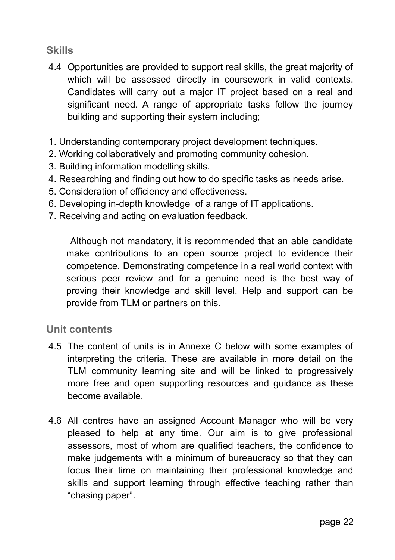#### **Skills**

- 4.4 Opportunities are provided to support real skills, the great majority of which will be assessed directly in coursework in valid contexts. Candidates will carry out a major IT project based on a real and significant need. A range of appropriate tasks follow the journey building and supporting their system including;
- 1. Understanding contemporary project development techniques.
- 2. Working collaboratively and promoting community cohesion.
- 3. Building information modelling skills.
- 4. Researching and finding out how to do specific tasks as needs arise.
- 5. Consideration of efficiency and effectiveness.
- 6. Developing in-depth knowledge of a range of IT applications.
- 7. Receiving and acting on evaluation feedback.

 Although not mandatory, it is recommended that an able candidate make contributions to an open source project to evidence their competence. Demonstrating competence in a real world context with serious peer review and for a genuine need is the best way of proving their knowledge and skill level. Help and support can be provide from TLM or partners on this.

#### **Unit contents**

- 4.5 The content of units is in Annexe C below with some examples of interpreting the criteria. These are available in more detail on the TLM community learning site and will be linked to progressively more free and open supporting resources and guidance as these become available.
- 4.6 All centres have an assigned Account Manager who will be very pleased to help at any time. Our aim is to give professional assessors, most of whom are qualified teachers, the confidence to make judgements with a minimum of bureaucracy so that they can focus their time on maintaining their professional knowledge and skills and support learning through effective teaching rather than "chasing paper".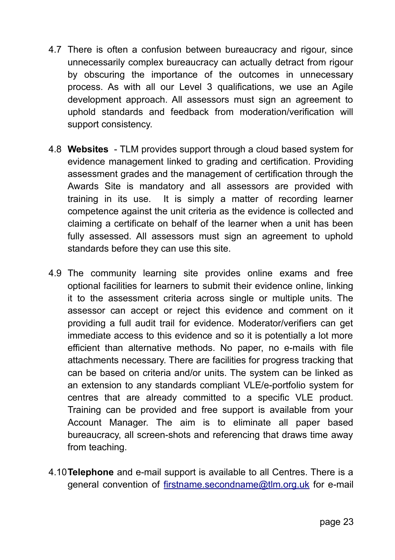- 4.7 There is often a confusion between bureaucracy and rigour, since unnecessarily complex bureaucracy can actually detract from rigour by obscuring the importance of the outcomes in unnecessary process. As with all our Level 3 qualifications, we use an Agile development approach. All assessors must sign an agreement to uphold standards and feedback from moderation/verification will support consistency.
- 4.8 **Websites** TLM provides support through a cloud based system for evidence management linked to grading and certification. Providing assessment grades and the management of certification through the Awards Site is mandatory and all assessors are provided with training in its use. It is simply a matter of recording learner competence against the unit criteria as the evidence is collected and claiming a certificate on behalf of the learner when a unit has been fully assessed. All assessors must sign an agreement to uphold standards before they can use this site.
- 4.9 The community learning site provides online exams and free optional facilities for learners to submit their evidence online, linking it to the assessment criteria across single or multiple units. The assessor can accept or reject this evidence and comment on it providing a full audit trail for evidence. Moderator/verifiers can get immediate access to this evidence and so it is potentially a lot more efficient than alternative methods. No paper, no e-mails with file attachments necessary. There are facilities for progress tracking that can be based on criteria and/or units. The system can be linked as an extension to any standards compliant VLE/e-portfolio system for centres that are already committed to a specific VLE product. Training can be provided and free support is available from your Account Manager. The aim is to eliminate all paper based bureaucracy, all screen-shots and referencing that draws time away from teaching.
- 4.10**Telephone** and e-mail support is available to all Centres. There is a general convention of [firstname.secondname@tlm.org.uk](mailto:firstname.secondname@tlm.org.uk) for e-mail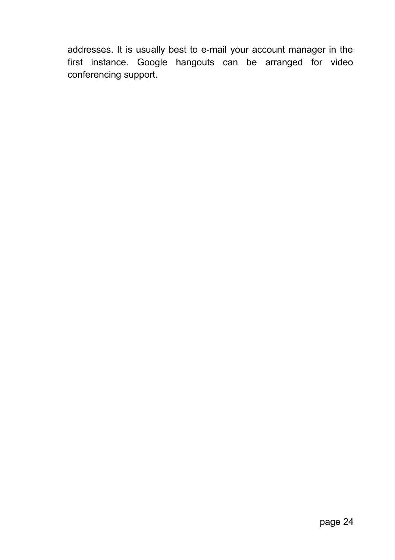addresses. It is usually best to e-mail your account manager in the first instance. Google hangouts can be arranged for video conferencing support.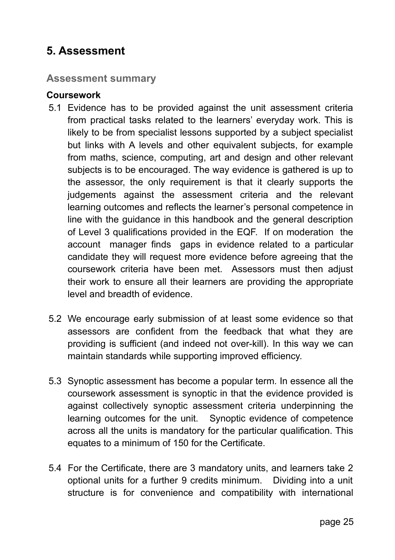### **5. Assessment**

#### **Assessment summary**

#### **Coursework**

- 5.1 Evidence has to be provided against the unit assessment criteria from practical tasks related to the learners' everyday work. This is likely to be from specialist lessons supported by a subject specialist but links with A levels and other equivalent subjects, for example from maths, science, computing, art and design and other relevant subjects is to be encouraged. The way evidence is gathered is up to the assessor, the only requirement is that it clearly supports the judgements against the assessment criteria and the relevant learning outcomes and reflects the learner's personal competence in line with the guidance in this handbook and the general description of Level 3 qualifications provided in the EQF. If on moderation the account manager finds gaps in evidence related to a particular candidate they will request more evidence before agreeing that the coursework criteria have been met. Assessors must then adjust their work to ensure all their learners are providing the appropriate level and breadth of evidence.
- 5.2 We encourage early submission of at least some evidence so that assessors are confident from the feedback that what they are providing is sufficient (and indeed not over-kill). In this way we can maintain standards while supporting improved efficiency.
- 5.3 Synoptic assessment has become a popular term. In essence all the coursework assessment is synoptic in that the evidence provided is against collectively synoptic assessment criteria underpinning the learning outcomes for the unit. Synoptic evidence of competence across all the units is mandatory for the particular qualification. This equates to a minimum of 150 for the Certificate.
- 5.4 For the Certificate, there are 3 mandatory units, and learners take 2 optional units for a further 9 credits minimum. Dividing into a unit structure is for convenience and compatibility with international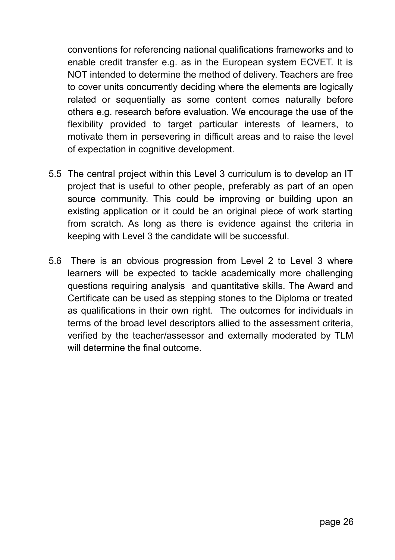conventions for referencing national qualifications frameworks and to enable credit transfer e.g. as in the European system ECVET. It is NOT intended to determine the method of delivery. Teachers are free to cover units concurrently deciding where the elements are logically related or sequentially as some content comes naturally before others e.g. research before evaluation. We encourage the use of the flexibility provided to target particular interests of learners, to motivate them in persevering in difficult areas and to raise the level of expectation in cognitive development.

- 5.5 The central project within this Level 3 curriculum is to develop an IT project that is useful to other people, preferably as part of an open source community. This could be improving or building upon an existing application or it could be an original piece of work starting from scratch. As long as there is evidence against the criteria in keeping with Level 3 the candidate will be successful.
- 5.6 There is an obvious progression from Level 2 to Level 3 where learners will be expected to tackle academically more challenging questions requiring analysis and quantitative skills. The Award and Certificate can be used as stepping stones to the Diploma or treated as qualifications in their own right. The outcomes for individuals in terms of the broad level descriptors allied to the assessment criteria, verified by the teacher/assessor and externally moderated by TLM will determine the final outcome.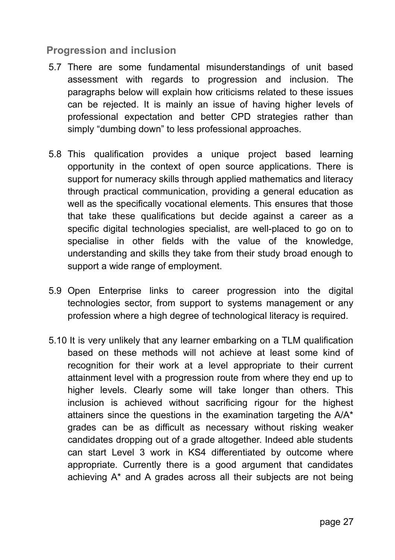#### **Progression and inclusion**

- 5.7 There are some fundamental misunderstandings of unit based assessment with regards to progression and inclusion. The paragraphs below will explain how criticisms related to these issues can be rejected. It is mainly an issue of having higher levels of professional expectation and better CPD strategies rather than simply "dumbing down" to less professional approaches.
- 5.8 This qualification provides a unique project based learning opportunity in the context of open source applications. There is support for numeracy skills through applied mathematics and literacy through practical communication, providing a general education as well as the specifically vocational elements. This ensures that those that take these qualifications but decide against a career as a specific digital technologies specialist, are well-placed to go on to specialise in other fields with the value of the knowledge, understanding and skills they take from their study broad enough to support a wide range of employment.
- 5.9 Open Enterprise links to career progression into the digital technologies sector, from support to systems management or any profession where a high degree of technological literacy is required.
- 5.10 It is very unlikely that any learner embarking on a TLM qualification based on these methods will not achieve at least some kind of recognition for their work at a level appropriate to their current attainment level with a progression route from where they end up to higher levels. Clearly some will take longer than others. This inclusion is achieved without sacrificing rigour for the highest attainers since the questions in the examination targeting the A/A\* grades can be as difficult as necessary without risking weaker candidates dropping out of a grade altogether. Indeed able students can start Level 3 work in KS4 differentiated by outcome where appropriate. Currently there is a good argument that candidates achieving A\* and A grades across all their subjects are not being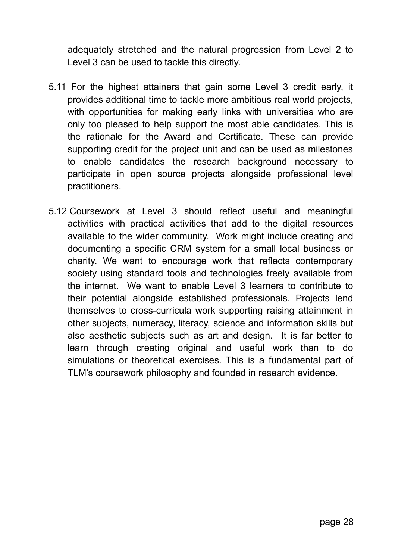adequately stretched and the natural progression from Level 2 to Level 3 can be used to tackle this directly.

- 5.11 For the highest attainers that gain some Level 3 credit early, it provides additional time to tackle more ambitious real world projects, with opportunities for making early links with universities who are only too pleased to help support the most able candidates. This is the rationale for the Award and Certificate. These can provide supporting credit for the project unit and can be used as milestones to enable candidates the research background necessary to participate in open source projects alongside professional level practitioners.
- 5.12 Coursework at Level 3 should reflect useful and meaningful activities with practical activities that add to the digital resources available to the wider community. Work might include creating and documenting a specific CRM system for a small local business or charity. We want to encourage work that reflects contemporary society using standard tools and technologies freely available from the internet. We want to enable Level 3 learners to contribute to their potential alongside established professionals. Projects lend themselves to cross-curricula work supporting raising attainment in other subjects, numeracy, literacy, science and information skills but also aesthetic subjects such as art and design. It is far better to learn through creating original and useful work than to do simulations or theoretical exercises. This is a fundamental part of TLM's coursework philosophy and founded in research evidence.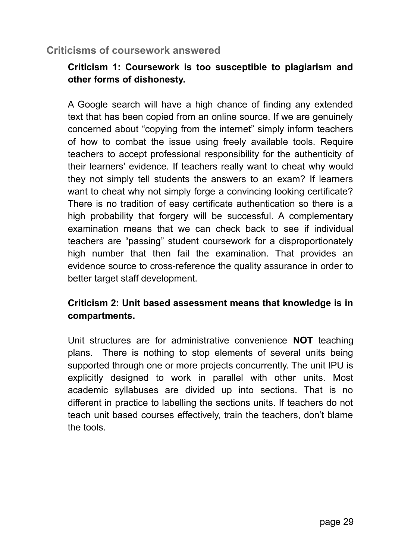#### **Criticisms of coursework answered**

#### **Criticism 1: Coursework is too susceptible to plagiarism and other forms of dishonesty.**

A Google search will have a high chance of finding any extended text that has been copied from an online source. If we are genuinely concerned about "copying from the internet" simply inform teachers of how to combat the issue using freely available tools. Require teachers to accept professional responsibility for the authenticity of their learners' evidence. If teachers really want to cheat why would they not simply tell students the answers to an exam? If learners want to cheat why not simply forge a convincing looking certificate? There is no tradition of easy certificate authentication so there is a high probability that forgery will be successful. A complementary examination means that we can check back to see if individual teachers are "passing" student coursework for a disproportionately high number that then fail the examination. That provides an evidence source to cross-reference the quality assurance in order to better target staff development.

#### **Criticism 2: Unit based assessment means that knowledge is in compartments.**

Unit structures are for administrative convenience **NOT** teaching plans. There is nothing to stop elements of several units being supported through one or more projects concurrently. The unit IPU is explicitly designed to work in parallel with other units. Most academic syllabuses are divided up into sections. That is no different in practice to labelling the sections units. If teachers do not teach unit based courses effectively, train the teachers, don't blame the tools.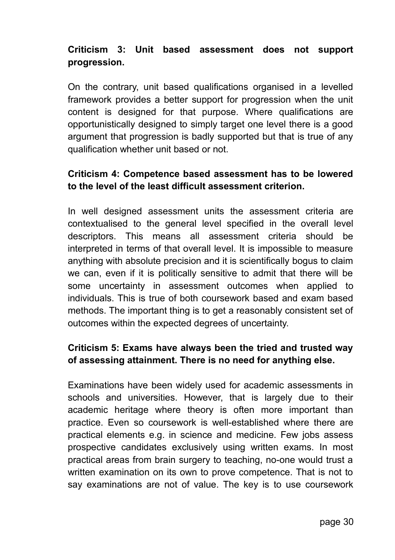#### **Criticism 3: Unit based assessment does not support progression.**

On the contrary, unit based qualifications organised in a levelled framework provides a better support for progression when the unit content is designed for that purpose. Where qualifications are opportunistically designed to simply target one level there is a good argument that progression is badly supported but that is true of any qualification whether unit based or not.

#### **Criticism 4: Competence based assessment has to be lowered to the level of the least difficult assessment criterion.**

In well designed assessment units the assessment criteria are contextualised to the general level specified in the overall level descriptors. This means all assessment criteria should be interpreted in terms of that overall level. It is impossible to measure anything with absolute precision and it is scientifically bogus to claim we can, even if it is politically sensitive to admit that there will be some uncertainty in assessment outcomes when applied to individuals. This is true of both coursework based and exam based methods. The important thing is to get a reasonably consistent set of outcomes within the expected degrees of uncertainty.

#### **Criticism 5: Exams have always been the tried and trusted way of assessing attainment. There is no need for anything else.**

Examinations have been widely used for academic assessments in schools and universities. However, that is largely due to their academic heritage where theory is often more important than practice. Even so coursework is well-established where there are practical elements e.g. in science and medicine. Few jobs assess prospective candidates exclusively using written exams. In most practical areas from brain surgery to teaching, no-one would trust a written examination on its own to prove competence. That is not to say examinations are not of value. The key is to use coursework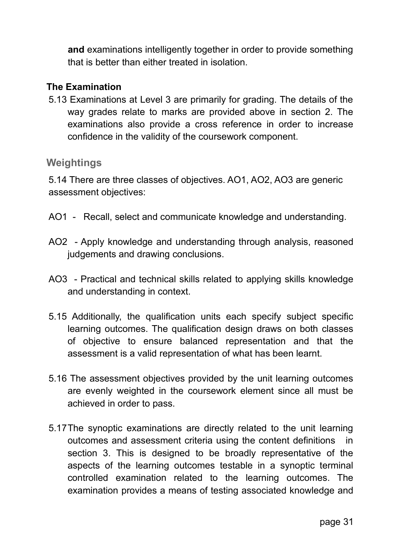**and** examinations intelligently together in order to provide something that is better than either treated in isolation.

#### **The Examination**

5.13 Examinations at Level 3 are primarily for grading. The details of the way grades relate to marks are provided above in section 2. The examinations also provide a cross reference in order to increase confidence in the validity of the coursework component.

#### **Weightings**

5.14 There are three classes of objectives. AO1, AO2, AO3 are generic assessment objectives:

- AO1 Recall, select and communicate knowledge and understanding.
- AO2 Apply knowledge and understanding through analysis, reasoned judgements and drawing conclusions.
- AO3 Practical and technical skills related to applying skills knowledge and understanding in context.
- 5.15 Additionally, the qualification units each specify subject specific learning outcomes. The qualification design draws on both classes of objective to ensure balanced representation and that the assessment is a valid representation of what has been learnt.
- 5.16 The assessment objectives provided by the unit learning outcomes are evenly weighted in the coursework element since all must be achieved in order to pass.
- 5.17The synoptic examinations are directly related to the unit learning outcomes and assessment criteria using the content definitions in section 3. This is designed to be broadly representative of the aspects of the learning outcomes testable in a synoptic terminal controlled examination related to the learning outcomes. The examination provides a means of testing associated knowledge and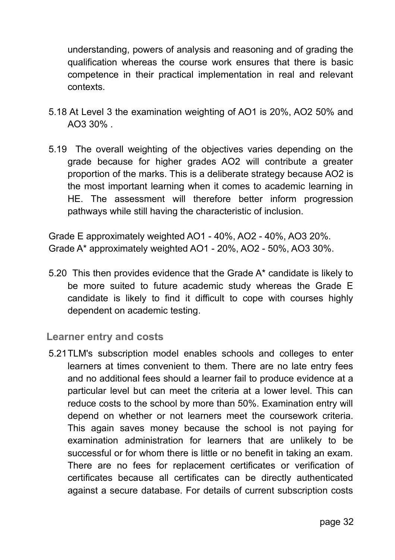understanding, powers of analysis and reasoning and of grading the qualification whereas the course work ensures that there is basic competence in their practical implementation in real and relevant contexts.

- 5.18 At Level 3 the examination weighting of AO1 is 20%, AO2 50% and AO3 30% .
- 5.19 The overall weighting of the objectives varies depending on the grade because for higher grades AO2 will contribute a greater proportion of the marks. This is a deliberate strategy because AO2 is the most important learning when it comes to academic learning in HE. The assessment will therefore better inform progression pathways while still having the characteristic of inclusion.

Grade E approximately weighted AO1 - 40%, AO2 - 40%, AO3 20%. Grade A\* approximately weighted AO1 - 20%, AO2 - 50%, AO3 30%.

5.20 This then provides evidence that the Grade A\* candidate is likely to be more suited to future academic study whereas the Grade E candidate is likely to find it difficult to cope with courses highly dependent on academic testing.

#### **Learner entry and costs**

5.21TLM's subscription model enables schools and colleges to enter learners at times convenient to them. There are no late entry fees and no additional fees should a learner fail to produce evidence at a particular level but can meet the criteria at a lower level. This can reduce costs to the school by more than 50%. Examination entry will depend on whether or not learners meet the coursework criteria. This again saves money because the school is not paying for examination administration for learners that are unlikely to be successful or for whom there is little or no benefit in taking an exam. There are no fees for replacement certificates or verification of certificates because all certificates can be directly authenticated against a secure database. For details of current subscription costs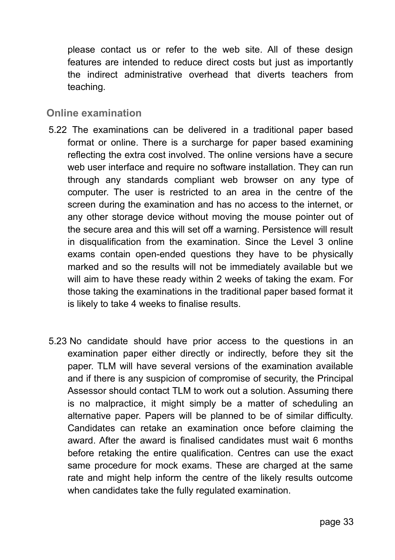please contact us or refer to the web site. All of these design features are intended to reduce direct costs but just as importantly the indirect administrative overhead that diverts teachers from teaching.

#### **Online examination**

- 5.22 The examinations can be delivered in a traditional paper based format or online. There is a surcharge for paper based examining reflecting the extra cost involved. The online versions have a secure web user interface and require no software installation. They can run through any standards compliant web browser on any type of computer. The user is restricted to an area in the centre of the screen during the examination and has no access to the internet, or any other storage device without moving the mouse pointer out of the secure area and this will set off a warning. Persistence will result in disqualification from the examination. Since the Level 3 online exams contain open-ended questions they have to be physically marked and so the results will not be immediately available but we will aim to have these ready within 2 weeks of taking the exam. For those taking the examinations in the traditional paper based format it is likely to take 4 weeks to finalise results.
- 5.23 No candidate should have prior access to the questions in an examination paper either directly or indirectly, before they sit the paper. TLM will have several versions of the examination available and if there is any suspicion of compromise of security, the Principal Assessor should contact TLM to work out a solution. Assuming there is no malpractice, it might simply be a matter of scheduling an alternative paper. Papers will be planned to be of similar difficulty. Candidates can retake an examination once before claiming the award. After the award is finalised candidates must wait 6 months before retaking the entire qualification. Centres can use the exact same procedure for mock exams. These are charged at the same rate and might help inform the centre of the likely results outcome when candidates take the fully regulated examination.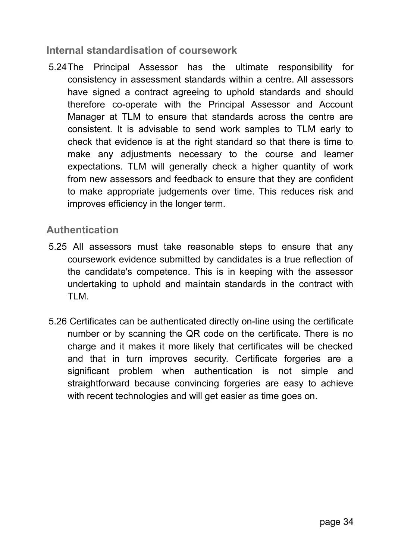#### **Internal standardisation of coursework**

5.24The Principal Assessor has the ultimate responsibility for consistency in assessment standards within a centre. All assessors have signed a contract agreeing to uphold standards and should therefore co-operate with the Principal Assessor and Account Manager at TLM to ensure that standards across the centre are consistent. It is advisable to send work samples to TLM early to check that evidence is at the right standard so that there is time to make any adjustments necessary to the course and learner expectations. TLM will generally check a higher quantity of work from new assessors and feedback to ensure that they are confident to make appropriate judgements over time. This reduces risk and improves efficiency in the longer term.

#### **Authentication**

- 5.25 All assessors must take reasonable steps to ensure that any coursework evidence submitted by candidates is a true reflection of the candidate's competence. This is in keeping with the assessor undertaking to uphold and maintain standards in the contract with TI M
- 5.26 Certificates can be authenticated directly on-line using the certificate number or by scanning the QR code on the certificate. There is no charge and it makes it more likely that certificates will be checked and that in turn improves security. Certificate forgeries are a significant problem when authentication is not simple and straightforward because convincing forgeries are easy to achieve with recent technologies and will get easier as time goes on.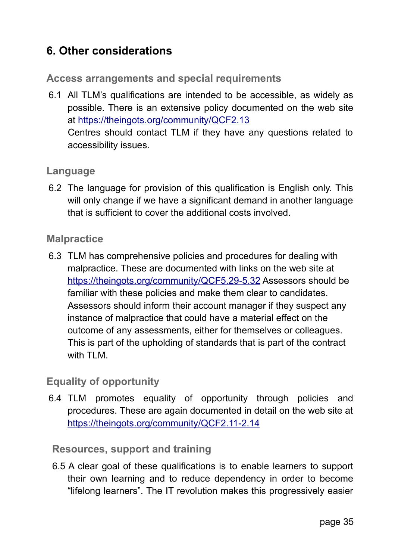## **6. Other considerations**

**Access arrangements and special requirements**

6.1 All TLM's qualifications are intended to be accessible, as widely as possible. There is an extensive policy documented on the web site at https://theingots.org/community/QCF2.13 Centres should contact TLM if they have any questions related to accessibility issues.

#### **Language**

6.2 The language for provision of this qualification is English only. This will only change if we have a significant demand in another language that is sufficient to cover the additional costs involved.

#### **Malpractice**

6.3 TLM has comprehensive policies and procedures for dealing with malpractice. These are documented with links on the web site at https://theingots.org/community/QCF5.29-5.32 Assessors should be familiar with these policies and make them clear to candidates. Assessors should inform their account manager if they suspect any instance of malpractice that could have a material effect on the outcome of any assessments, either for themselves or colleagues. This is part of the upholding of standards that is part of the contract with TLM.

#### **Equality of opportunity**

6.4 TLM promotes equality of opportunity through policies and procedures. These are again documented in detail on the web site at https://theingots.org/community/QCF2.11-2.14

#### **Resources, support and training**

 6.5 A clear goal of these qualifications is to enable learners to support their own learning and to reduce dependency in order to become "lifelong learners". The IT revolution makes this progressively easier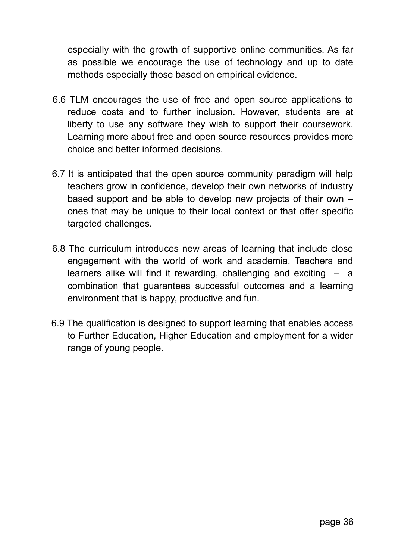especially with the growth of supportive online communities. As far as possible we encourage the use of technology and up to date methods especially those based on empirical evidence.

- 6.6 TLM encourages the use of free and open source applications to reduce costs and to further inclusion. However, students are at liberty to use any software they wish to support their coursework. Learning more about free and open source resources provides more choice and better informed decisions.
- 6.7 It is anticipated that the open source community paradigm will help teachers grow in confidence, develop their own networks of industry based support and be able to develop new projects of their own – ones that may be unique to their local context or that offer specific targeted challenges.
- 6.8 The curriculum introduces new areas of learning that include close engagement with the world of work and academia. Teachers and learners alike will find it rewarding, challenging and exciting  $-$  a combination that guarantees successful outcomes and a learning environment that is happy, productive and fun.
- 6.9 The qualification is designed to support learning that enables access to Further Education, Higher Education and employment for a wider range of young people.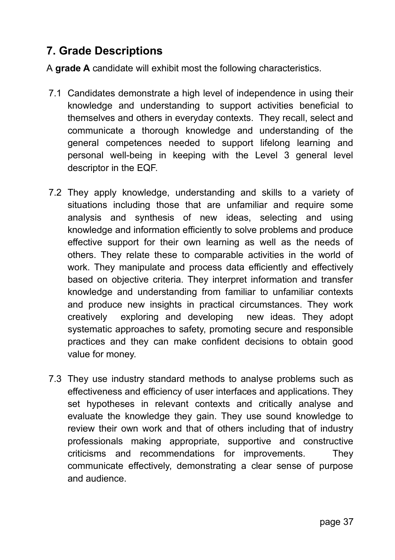# **7. Grade Descriptions**

A **grade A** candidate will exhibit most the following characteristics.

- 7.1 Candidates demonstrate a high level of independence in using their knowledge and understanding to support activities beneficial to themselves and others in everyday contexts. They recall, select and communicate a thorough knowledge and understanding of the general competences needed to support lifelong learning and personal well-being in keeping with the Level 3 general level descriptor in the EQF.
- 7.2 They apply knowledge, understanding and skills to a variety of situations including those that are unfamiliar and require some analysis and synthesis of new ideas, selecting and using knowledge and information efficiently to solve problems and produce effective support for their own learning as well as the needs of others. They relate these to comparable activities in the world of work. They manipulate and process data efficiently and effectively based on objective criteria. They interpret information and transfer knowledge and understanding from familiar to unfamiliar contexts and produce new insights in practical circumstances. They work creatively exploring and developing new ideas. They adopt systematic approaches to safety, promoting secure and responsible practices and they can make confident decisions to obtain good value for money.
- 7.3 They use industry standard methods to analyse problems such as effectiveness and efficiency of user interfaces and applications. They set hypotheses in relevant contexts and critically analyse and evaluate the knowledge they gain. They use sound knowledge to review their own work and that of others including that of industry professionals making appropriate, supportive and constructive criticisms and recommendations for improvements. They communicate effectively, demonstrating a clear sense of purpose and audience.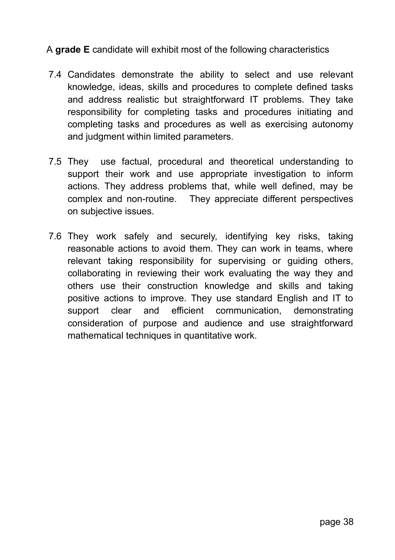### A **grade E** candidate will exhibit most of the following characteristics

- 7.4 Candidates demonstrate the ability to select and use relevant knowledge, ideas, skills and procedures to complete defined tasks and address realistic but straightforward IT problems. They take responsibility for completing tasks and procedures initiating and completing tasks and procedures as well as exercising autonomy and judgment within limited parameters.
- 7.5 They use factual, procedural and theoretical understanding to support their work and use appropriate investigation to inform actions. They address problems that, while well defined, may be complex and non-routine. They appreciate different perspectives on subjective issues.
- 7.6 They work safely and securely, identifying key risks, taking reasonable actions to avoid them. They can work in teams, where relevant taking responsibility for supervising or guiding others, collaborating in reviewing their work evaluating the way they and others use their construction knowledge and skills and taking positive actions to improve. They use standard English and IT to support clear and efficient communication, demonstrating consideration of purpose and audience and use straightforward mathematical techniques in quantitative work.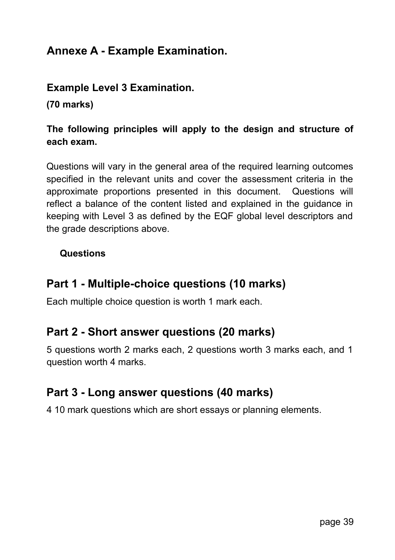# **Annexe A - Example Examination.**

# **Example Level 3 Examination.**

**(70 marks)**

# **The following principles will apply to the design and structure of each exam.**

Questions will vary in the general area of the required learning outcomes specified in the relevant units and cover the assessment criteria in the approximate proportions presented in this document. Questions will reflect a balance of the content listed and explained in the guidance in keeping with Level 3 as defined by the EQF global level descriptors and the grade descriptions above.

#### **Questions**

# **Part 1 - Multiple-choice questions (10 marks)**

Each multiple choice question is worth 1 mark each.

# **Part 2 - Short answer questions (20 marks)**

5 questions worth 2 marks each, 2 questions worth 3 marks each, and 1 question worth 4 marks.

# **Part 3 - Long answer questions (40 marks)**

4 10 mark questions which are short essays or planning elements.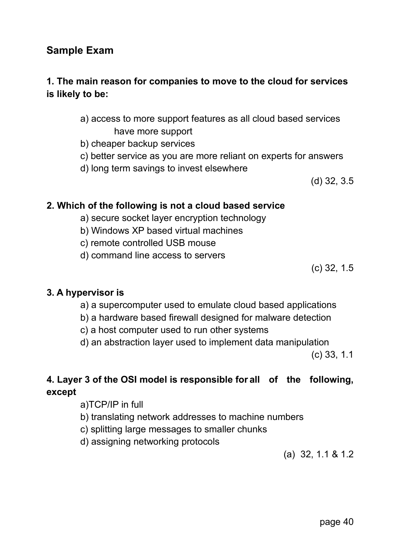#### page 40

### **Sample Exam**

### **1. The main reason for companies to move to the cloud for services is likely to be:**

- a) access to more support features as all cloud based services have more support
- b) cheaper backup services
- c) better service as you are more reliant on experts for answers
- d) long term savings to invest elsewhere

(d) 32, 3.5

#### **2. Which of the following is not a cloud based service**

- a) secure socket layer encryption technology
- b) Windows XP based virtual machines
- c) remote controlled USB mouse
- d) command line access to servers

(c) 32, 1.5

#### **3. A hypervisor is**

- a) a supercomputer used to emulate cloud based applications
- b) a hardware based firewall designed for malware detection
- c) a host computer used to run other systems
- d) an abstraction layer used to implement data manipulation

(c) 33, 1.1

### **4. Layer 3 of the OSI model is responsible forall of the following, except**

- a)TCP/IP in full
- b) translating network addresses to machine numbers
- c) splitting large messages to smaller chunks
- d) assigning networking protocols

(a) 32, 1.1 & 1.2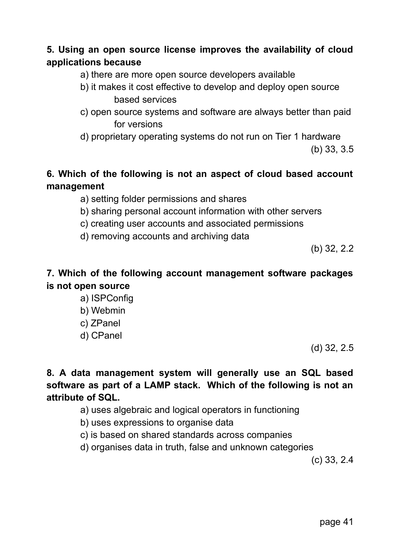# **5. Using an open source license improves the availability of cloud applications because**

- a) there are more open source developers available
- b) it makes it cost effective to develop and deploy open source based services
- c) open source systems and software are always better than paid for versions
- d) proprietary operating systems do not run on Tier 1 hardware

(b) 33, 3.5

# **6. Which of the following is not an aspect of cloud based account management**

- a) setting folder permissions and shares
- b) sharing personal account information with other servers
- c) creating user accounts and associated permissions
- d) removing accounts and archiving data

(b) 32, 2.2

# **7. Which of the following account management software packages is not open source**

- a) ISPConfig
- b) Webmin
- c) ZPanel
- d) CPanel

(d) 32, 2.5

# **8. A data management system will generally use an SQL based software as part of a LAMP stack. Which of the following is not an attribute of SQL.**

- a) uses algebraic and logical operators in functioning
- b) uses expressions to organise data
- c) is based on shared standards across companies
- d) organises data in truth, false and unknown categories

(c) 33, 2.4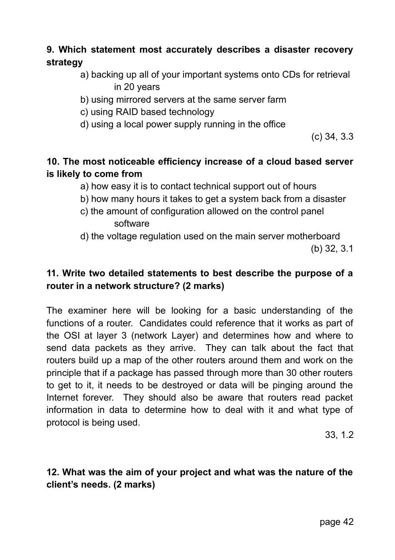# **9. Which statement most accurately describes a disaster recovery strategy**

- a) backing up all of your important systems onto CDs for retrieval in 20 years
- b) using mirrored servers at the same server farm
- c) using RAID based technology
- d) using a local power supply running in the office

(c) 34, 3.3

# **10. The most noticeable efficiency increase of a cloud based server is likely to come from**

- a) how easy it is to contact technical support out of hours
- b) how many hours it takes to get a system back from a disaster
- c) the amount of configuration allowed on the control panel software
- d) the voltage regulation used on the main server motherboard

(b) 32, 3.1

# **11. Write two detailed statements to best describe the purpose of a router in a network structure? (2 marks)**

The examiner here will be looking for a basic understanding of the functions of a router. Candidates could reference that it works as part of the OSI at layer 3 (network Layer) and determines how and where to send data packets as they arrive. They can talk about the fact that routers build up a map of the other routers around them and work on the principle that if a package has passed through more than 30 other routers to get to it, it needs to be destroyed or data will be pinging around the Internet forever. They should also be aware that routers read packet information in data to determine how to deal with it and what type of protocol is being used.

33, 1.2

# **12. What was the aim of your project and what was the nature of the client's needs. (2 marks)**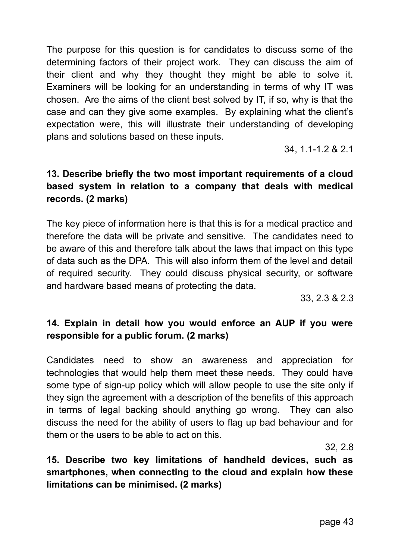The purpose for this question is for candidates to discuss some of the determining factors of their project work. They can discuss the aim of their client and why they thought they might be able to solve it. Examiners will be looking for an understanding in terms of why IT was chosen. Are the aims of the client best solved by IT, if so, why is that the case and can they give some examples. By explaining what the client's expectation were, this will illustrate their understanding of developing plans and solutions based on these inputs.

34, 1.1-1.2 & 2.1

# **13. Describe briefly the two most important requirements of a cloud based system in relation to a company that deals with medical records. (2 marks)**

The key piece of information here is that this is for a medical practice and therefore the data will be private and sensitive. The candidates need to be aware of this and therefore talk about the laws that impact on this type of data such as the DPA. This will also inform them of the level and detail of required security. They could discuss physical security, or software and hardware based means of protecting the data.

33, 2.3 & 2.3

# **14. Explain in detail how you would enforce an AUP if you were responsible for a public forum. (2 marks)**

Candidates need to show an awareness and appreciation for technologies that would help them meet these needs. They could have some type of sign-up policy which will allow people to use the site only if they sign the agreement with a description of the benefits of this approach in terms of legal backing should anything go wrong. They can also discuss the need for the ability of users to flag up bad behaviour and for them or the users to be able to act on this.

32, 2.8

**15. Describe two key limitations of handheld devices, such as smartphones, when connecting to the cloud and explain how these limitations can be minimised. (2 marks)**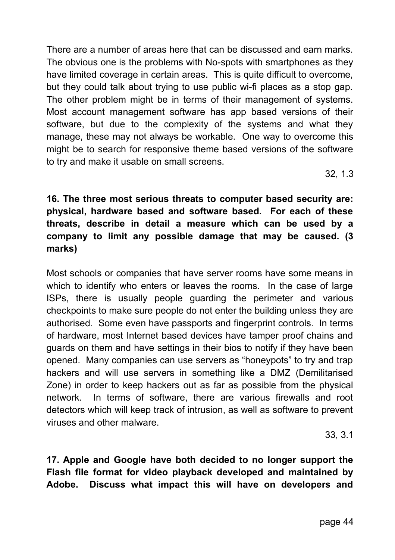There are a number of areas here that can be discussed and earn marks. The obvious one is the problems with No-spots with smartphones as they have limited coverage in certain areas. This is quite difficult to overcome, but they could talk about trying to use public wi-fi places as a stop gap. The other problem might be in terms of their management of systems. Most account management software has app based versions of their software, but due to the complexity of the systems and what they manage, these may not always be workable. One way to overcome this might be to search for responsive theme based versions of the software to try and make it usable on small screens.

32, 1.3

**16. The three most serious threats to computer based security are: physical, hardware based and software based. For each of these threats, describe in detail a measure which can be used by a company to limit any possible damage that may be caused. (3 marks)**

Most schools or companies that have server rooms have some means in which to identify who enters or leaves the rooms. In the case of large ISPs, there is usually people guarding the perimeter and various checkpoints to make sure people do not enter the building unless they are authorised. Some even have passports and fingerprint controls. In terms of hardware, most Internet based devices have tamper proof chains and guards on them and have settings in their bios to notify if they have been opened. Many companies can use servers as "honeypots" to try and trap hackers and will use servers in something like a DMZ (Demilitarised Zone) in order to keep hackers out as far as possible from the physical network. In terms of software, there are various firewalls and root detectors which will keep track of intrusion, as well as software to prevent viruses and other malware.

33, 3.1

**17. Apple and Google have both decided to no longer support the Flash file format for video playback developed and maintained by Adobe. Discuss what impact this will have on developers and**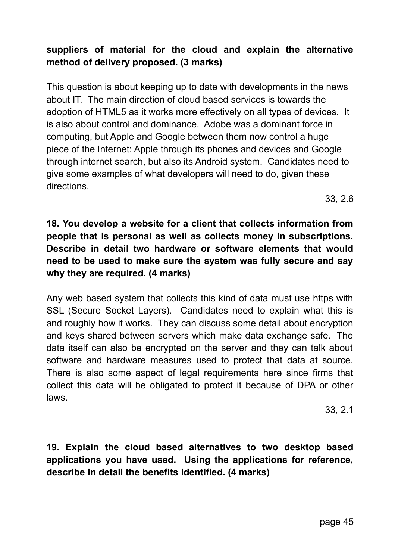# **suppliers of material for the cloud and explain the alternative method of delivery proposed. (3 marks)**

This question is about keeping up to date with developments in the news about IT. The main direction of cloud based services is towards the adoption of HTML5 as it works more effectively on all types of devices. It is also about control and dominance. Adobe was a dominant force in computing, but Apple and Google between them now control a huge piece of the Internet: Apple through its phones and devices and Google through internet search, but also its Android system. Candidates need to give some examples of what developers will need to do, given these directions.

33, 2.6

# **18. You develop a website for a client that collects information from people that is personal as well as collects money in subscriptions. Describe in detail two hardware or software elements that would need to be used to make sure the system was fully secure and say why they are required. (4 marks)**

Any web based system that collects this kind of data must use https with SSL (Secure Socket Layers). Candidates need to explain what this is and roughly how it works. They can discuss some detail about encryption and keys shared between servers which make data exchange safe. The data itself can also be encrypted on the server and they can talk about software and hardware measures used to protect that data at source. There is also some aspect of legal requirements here since firms that collect this data will be obligated to protect it because of DPA or other laws.

33, 2.1

**19. Explain the cloud based alternatives to two desktop based applications you have used. Using the applications for reference, describe in detail the benefits identified. (4 marks)**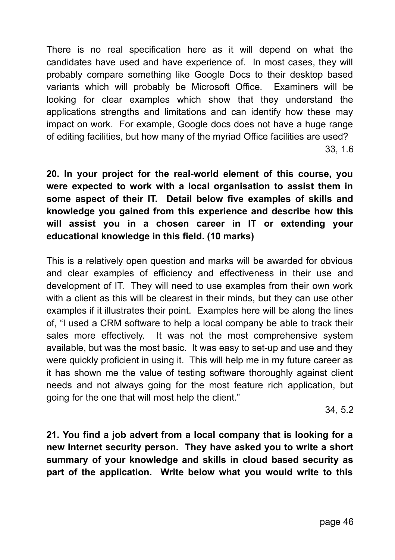There is no real specification here as it will depend on what the candidates have used and have experience of. In most cases, they will probably compare something like Google Docs to their desktop based variants which will probably be Microsoft Office. Examiners will be looking for clear examples which show that they understand the applications strengths and limitations and can identify how these may impact on work. For example, Google docs does not have a huge range of editing facilities, but how many of the myriad Office facilities are used? 33, 1.6

**20. In your project for the real-world element of this course, you were expected to work with a local organisation to assist them in some aspect of their IT. Detail below five examples of skills and knowledge you gained from this experience and describe how this will assist you in a chosen career in IT or extending your educational knowledge in this field. (10 marks)**

This is a relatively open question and marks will be awarded for obvious and clear examples of efficiency and effectiveness in their use and development of IT. They will need to use examples from their own work with a client as this will be clearest in their minds, but they can use other examples if it illustrates their point. Examples here will be along the lines of, "I used a CRM software to help a local company be able to track their sales more effectively. It was not the most comprehensive system available, but was the most basic. It was easy to set-up and use and they were quickly proficient in using it. This will help me in my future career as it has shown me the value of testing software thoroughly against client needs and not always going for the most feature rich application, but going for the one that will most help the client."

34, 5.2

**21. You find a job advert from a local company that is looking for a new Internet security person. They have asked you to write a short summary of your knowledge and skills in cloud based security as part of the application. Write below what you would write to this**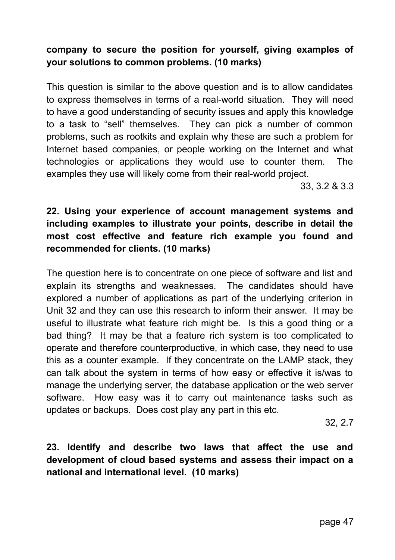# **company to secure the position for yourself, giving examples of your solutions to common problems. (10 marks)**

This question is similar to the above question and is to allow candidates to express themselves in terms of a real-world situation. They will need to have a good understanding of security issues and apply this knowledge to a task to "sell" themselves. They can pick a number of common problems, such as rootkits and explain why these are such a problem for Internet based companies, or people working on the Internet and what technologies or applications they would use to counter them. The examples they use will likely come from their real-world project.

33, 3.2 & 3.3

# **22. Using your experience of account management systems and including examples to illustrate your points, describe in detail the most cost effective and feature rich example you found and recommended for clients. (10 marks)**

The question here is to concentrate on one piece of software and list and explain its strengths and weaknesses. The candidates should have explored a number of applications as part of the underlying criterion in Unit 32 and they can use this research to inform their answer. It may be useful to illustrate what feature rich might be. Is this a good thing or a bad thing? It may be that a feature rich system is too complicated to operate and therefore counterproductive, in which case, they need to use this as a counter example. If they concentrate on the LAMP stack, they can talk about the system in terms of how easy or effective it is/was to manage the underlying server, the database application or the web server software. How easy was it to carry out maintenance tasks such as updates or backups. Does cost play any part in this etc.

32, 2.7

**23. Identify and describe two laws that affect the use and development of cloud based systems and assess their impact on a national and international level. (10 marks)**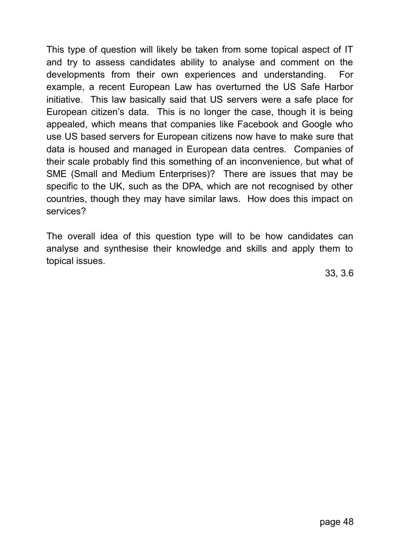This type of question will likely be taken from some topical aspect of IT and try to assess candidates ability to analyse and comment on the developments from their own experiences and understanding. For example, a recent European Law has overturned the US Safe Harbor initiative. This law basically said that US servers were a safe place for European citizen's data. This is no longer the case, though it is being appealed, which means that companies like Facebook and Google who use US based servers for European citizens now have to make sure that data is housed and managed in European data centres. Companies of their scale probably find this something of an inconvenience, but what of SME (Small and Medium Enterprises)? There are issues that may be specific to the UK, such as the DPA, which are not recognised by other countries, though they may have similar laws. How does this impact on services?

The overall idea of this question type will to be how candidates can analyse and synthesise their knowledge and skills and apply them to topical issues.

33, 3.6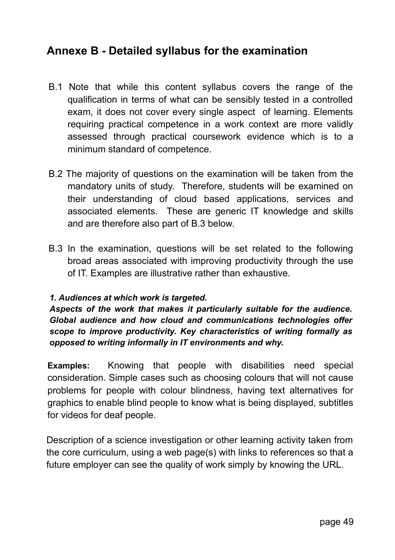# **Annexe B - Detailed syllabus for the examination**

- B.1 Note that while this content syllabus covers the range of the qualification in terms of what can be sensibly tested in a controlled exam, it does not cover every single aspect of learning. Elements requiring practical competence in a work context are more validly assessed through practical coursework evidence which is to a minimum standard of competence.
- B.2 The majority of questions on the examination will be taken from the mandatory units of study. Therefore, students will be examined on their understanding of cloud based applications, services and associated elements. These are generic IT knowledge and skills and are therefore also part of B.3 below.
- B.3 In the examination, questions will be set related to the following broad areas associated with improving productivity through the use of IT. Examples are illustrative rather than exhaustive.

#### *1. Audiences at which work is targeted.*

*Aspects of the work that makes it particularly suitable for the audience. Global audience and how cloud and communications technologies offer scope to improve productivity. Key characteristics of writing formally as opposed to writing informally in IT environments and why.*

**Examples:** Knowing that people with disabilities need special consideration. Simple cases such as choosing colours that will not cause problems for people with colour blindness, having text alternatives for graphics to enable blind people to know what is being displayed, subtitles for videos for deaf people.

Description of a science investigation or other learning activity taken from the core curriculum, using a web page(s) with links to references so that a future employer can see the quality of work simply by knowing the URL.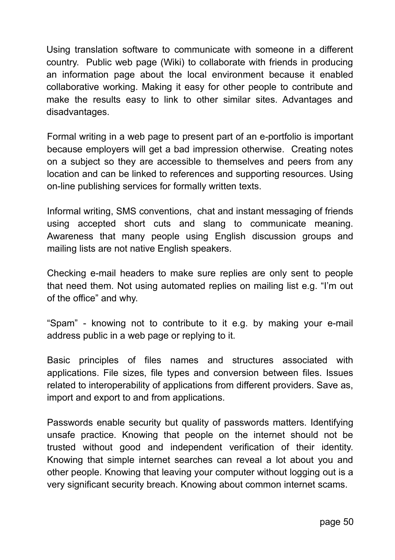Using translation software to communicate with someone in a different country. Public web page (Wiki) to collaborate with friends in producing an information page about the local environment because it enabled collaborative working. Making it easy for other people to contribute and make the results easy to link to other similar sites. Advantages and disadvantages.

Formal writing in a web page to present part of an e-portfolio is important because employers will get a bad impression otherwise. Creating notes on a subject so they are accessible to themselves and peers from any location and can be linked to references and supporting resources. Using on-line publishing services for formally written texts.

Informal writing, SMS conventions, chat and instant messaging of friends using accepted short cuts and slang to communicate meaning. Awareness that many people using English discussion groups and mailing lists are not native English speakers.

Checking e-mail headers to make sure replies are only sent to people that need them. Not using automated replies on mailing list e.g. "I'm out of the office" and why.

"Spam" - knowing not to contribute to it e.g. by making your e-mail address public in a web page or replying to it.

Basic principles of files names and structures associated with applications. File sizes, file types and conversion between files. Issues related to interoperability of applications from different providers. Save as, import and export to and from applications.

Passwords enable security but quality of passwords matters. Identifying unsafe practice. Knowing that people on the internet should not be trusted without good and independent verification of their identity. Knowing that simple internet searches can reveal a lot about you and other people. Knowing that leaving your computer without logging out is a very significant security breach. Knowing about common internet scams.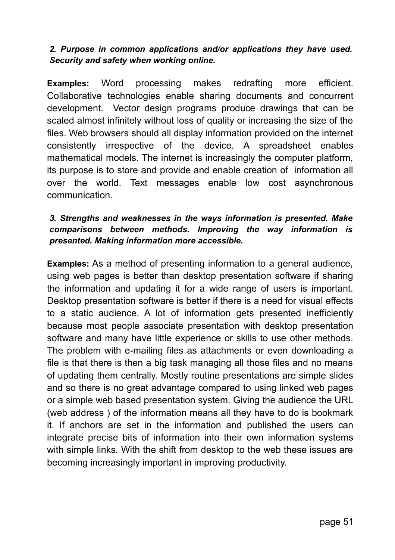#### *2. Purpose in common applications and/or applications they have used. Security and safety when working online.*

**Examples:** Word processing makes redrafting more efficient. Collaborative technologies enable sharing documents and concurrent development. Vector design programs produce drawings that can be scaled almost infinitely without loss of quality or increasing the size of the files. Web browsers should all display information provided on the internet consistently irrespective of the device. A spreadsheet enables mathematical models. The internet is increasingly the computer platform, its purpose is to store and provide and enable creation of information all over the world. Text messages enable low cost asynchronous communication.

#### *3. Strengths and weaknesses in the ways information is presented. Make comparisons between methods. Improving the way information is presented. Making information more accessible.*

**Examples:** As a method of presenting information to a general audience, using web pages is better than desktop presentation software if sharing the information and updating it for a wide range of users is important. Desktop presentation software is better if there is a need for visual effects to a static audience. A lot of information gets presented inefficiently because most people associate presentation with desktop presentation software and many have little experience or skills to use other methods. The problem with e-mailing files as attachments or even downloading a file is that there is then a big task managing all those files and no means of updating them centrally. Mostly routine presentations are simple slides and so there is no great advantage compared to using linked web pages or a simple web based presentation system. Giving the audience the URL (web address ) of the information means all they have to do is bookmark it. If anchors are set in the information and published the users can integrate precise bits of information into their own information systems with simple links. With the shift from desktop to the web these issues are becoming increasingly important in improving productivity.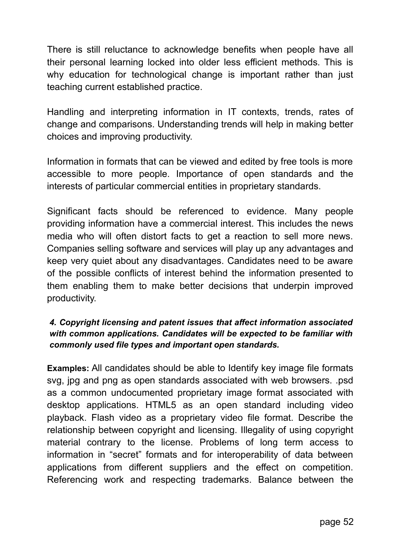There is still reluctance to acknowledge benefits when people have all their personal learning locked into older less efficient methods. This is why education for technological change is important rather than just teaching current established practice.

Handling and interpreting information in IT contexts, trends, rates of change and comparisons. Understanding trends will help in making better choices and improving productivity.

Information in formats that can be viewed and edited by free tools is more accessible to more people. Importance of open standards and the interests of particular commercial entities in proprietary standards.

Significant facts should be referenced to evidence. Many people providing information have a commercial interest. This includes the news media who will often distort facts to get a reaction to sell more news. Companies selling software and services will play up any advantages and keep very quiet about any disadvantages. Candidates need to be aware of the possible conflicts of interest behind the information presented to them enabling them to make better decisions that underpin improved productivity.

### *4. Copyright licensing and patent issues that affect information associated with common applications. Candidates will be expected to be familiar with commonly used file types and important open standards.*

**Examples:** All candidates should be able to Identify key image file formats svg, jpg and png as open standards associated with web browsers. .psd as a common undocumented proprietary image format associated with desktop applications. HTML5 as an open standard including video playback. Flash video as a proprietary video file format. Describe the relationship between copyright and licensing. Illegality of using copyright material contrary to the license. Problems of long term access to information in "secret" formats and for interoperability of data between applications from different suppliers and the effect on competition. Referencing work and respecting trademarks. Balance between the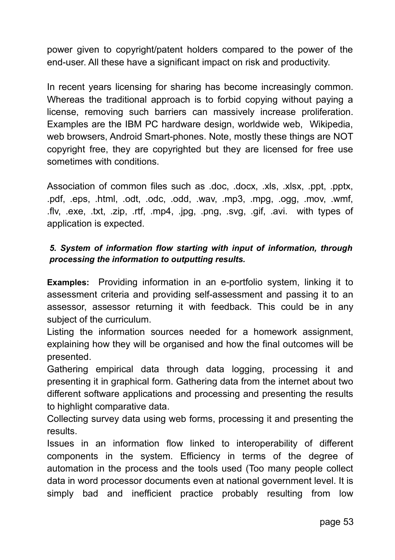power given to copyright/patent holders compared to the power of the end-user. All these have a significant impact on risk and productivity.

In recent years licensing for sharing has become increasingly common. Whereas the traditional approach is to forbid copying without paying a license, removing such barriers can massively increase proliferation. Examples are the IBM PC hardware design, worldwide web, Wikipedia, web browsers, Android Smart-phones. Note, mostly these things are NOT copyright free, they are copyrighted but they are licensed for free use sometimes with conditions.

Association of common files such as .doc, .docx, .xls, .xlsx, .ppt, .pptx, .pdf, .eps, .html, .odt, .odc, .odd, .wav, .mp3, .mpg, .ogg, .mov, .wmf, .flv, .exe, .txt, .zip, .rtf, .mp4, .jpg, .png, .svg, .gif, .avi. with types of application is expected.

### *5. System of information flow starting with input of information, through processing the information to outputting results.*

**Examples:** Providing information in an e-portfolio system, linking it to assessment criteria and providing self-assessment and passing it to an assessor, assessor returning it with feedback. This could be in any subject of the curriculum.

Listing the information sources needed for a homework assignment, explaining how they will be organised and how the final outcomes will be presented.

Gathering empirical data through data logging, processing it and presenting it in graphical form. Gathering data from the internet about two different software applications and processing and presenting the results to highlight comparative data.

Collecting survey data using web forms, processing it and presenting the results.

Issues in an information flow linked to interoperability of different components in the system. Efficiency in terms of the degree of automation in the process and the tools used (Too many people collect data in word processor documents even at national government level. It is simply bad and inefficient practice probably resulting from low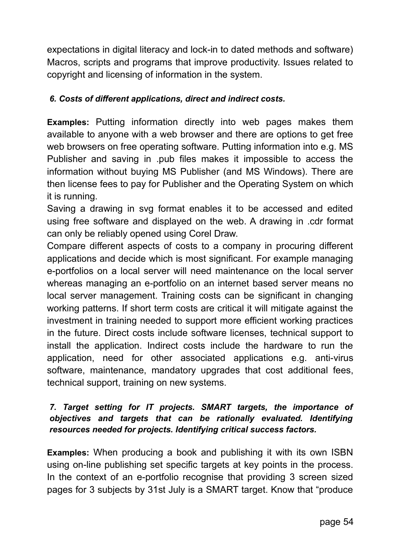expectations in digital literacy and lock-in to dated methods and software) Macros, scripts and programs that improve productivity. Issues related to copyright and licensing of information in the system.

### *6. Costs of different applications, direct and indirect costs.*

**Examples:** Putting information directly into web pages makes them available to anyone with a web browser and there are options to get free web browsers on free operating software. Putting information into e.g. MS Publisher and saving in .pub files makes it impossible to access the information without buying MS Publisher (and MS Windows). There are then license fees to pay for Publisher and the Operating System on which it is running.

Saving a drawing in svg format enables it to be accessed and edited using free software and displayed on the web. A drawing in .cdr format can only be reliably opened using Corel Draw.

Compare different aspects of costs to a company in procuring different applications and decide which is most significant. For example managing e-portfolios on a local server will need maintenance on the local server whereas managing an e-portfolio on an internet based server means no local server management. Training costs can be significant in changing working patterns. If short term costs are critical it will mitigate against the investment in training needed to support more efficient working practices in the future. Direct costs include software licenses, technical support to install the application. Indirect costs include the hardware to run the application, need for other associated applications e.g. anti-virus software, maintenance, mandatory upgrades that cost additional fees, technical support, training on new systems.

#### *7. Target setting for IT projects. SMART targets, the importance of objectives and targets that can be rationally evaluated. Identifying resources needed for projects. Identifying critical success factors.*

**Examples:** When producing a book and publishing it with its own ISBN using on-line publishing set specific targets at key points in the process. In the context of an e-portfolio recognise that providing 3 screen sized pages for 3 subjects by 31st July is a SMART target. Know that "produce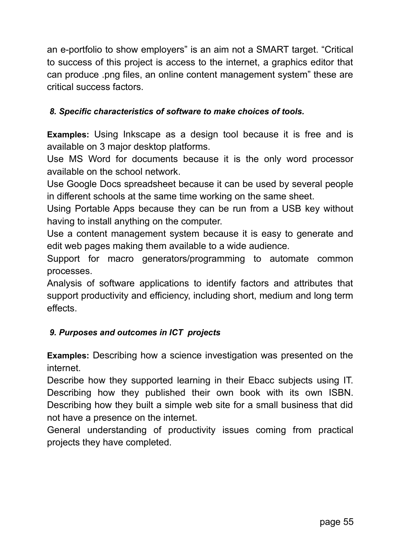an e-portfolio to show employers" is an aim not a SMART target. "Critical to success of this project is access to the internet, a graphics editor that can produce .png files, an online content management system" these are critical success factors.

#### *8. Specific characteristics of software to make choices of tools.*

**Examples:** Using Inkscape as a design tool because it is free and is available on 3 major desktop platforms.

Use MS Word for documents because it is the only word processor available on the school network.

Use Google Docs spreadsheet because it can be used by several people in different schools at the same time working on the same sheet.

Using Portable Apps because they can be run from a USB key without having to install anything on the computer.

Use a content management system because it is easy to generate and edit web pages making them available to a wide audience.

Support for macro generators/programming to automate common processes.

Analysis of software applications to identify factors and attributes that support productivity and efficiency, including short, medium and long term effects.

### *9. Purposes and outcomes in ICT projects*

**Examples:** Describing how a science investigation was presented on the internet.

Describe how they supported learning in their Ebacc subjects using IT. Describing how they published their own book with its own ISBN. Describing how they built a simple web site for a small business that did not have a presence on the internet.

General understanding of productivity issues coming from practical projects they have completed.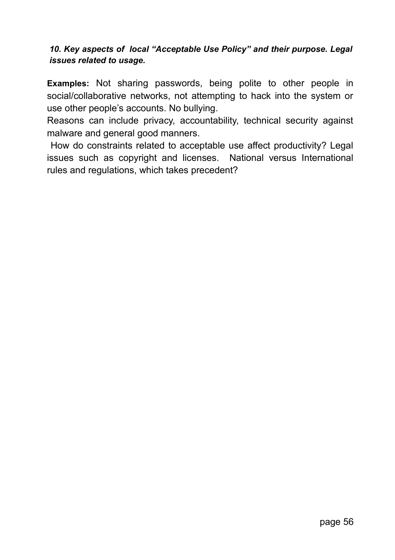#### *10. Key aspects of local "Acceptable Use Policy" and their purpose. Legal issues related to usage.*

**Examples:** Not sharing passwords, being polite to other people in social/collaborative networks, not attempting to hack into the system or use other people's accounts. No bullying.

Reasons can include privacy, accountability, technical security against malware and general good manners.

 How do constraints related to acceptable use affect productivity? Legal issues such as copyright and licenses. National versus International rules and regulations, which takes precedent?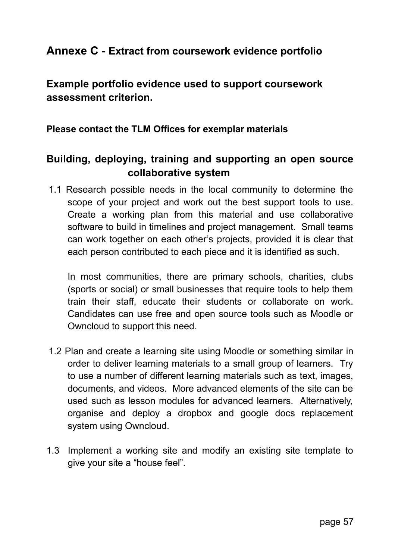# **Annexe C - Extract from coursework evidence portfolio**

**Example portfolio evidence used to support coursework assessment criterion.**

**Please contact the TLM Offices for exemplar materials**

# **Building, deploying, training and supporting an open source collaborative system**

1.1 Research possible needs in the local community to determine the scope of your project and work out the best support tools to use. Create a working plan from this material and use collaborative software to build in timelines and project management. Small teams can work together on each other's projects, provided it is clear that each person contributed to each piece and it is identified as such.

In most communities, there are primary schools, charities, clubs (sports or social) or small businesses that require tools to help them train their staff, educate their students or collaborate on work. Candidates can use free and open source tools such as Moodle or Owncloud to support this need.

- 1.2 Plan and create a learning site using Moodle or something similar in order to deliver learning materials to a small group of learners. Try to use a number of different learning materials such as text, images, documents, and videos. More advanced elements of the site can be used such as lesson modules for advanced learners. Alternatively, organise and deploy a dropbox and google docs replacement system using Owncloud.
- 1.3 Implement a working site and modify an existing site template to give your site a "house feel".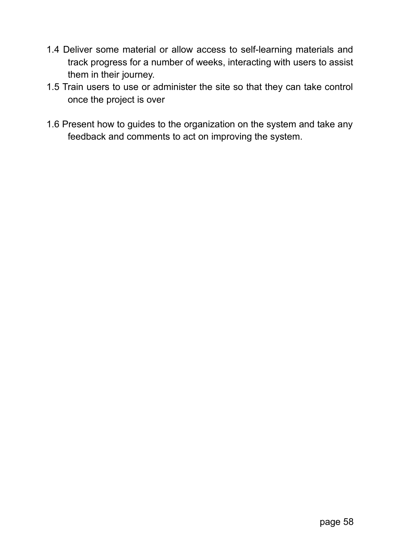- 1.4 Deliver some material or allow access to self-learning materials and track progress for a number of weeks, interacting with users to assist them in their journey.
- 1.5 Train users to use or administer the site so that they can take control once the project is over
- 1.6 Present how to guides to the organization on the system and take any feedback and comments to act on improving the system.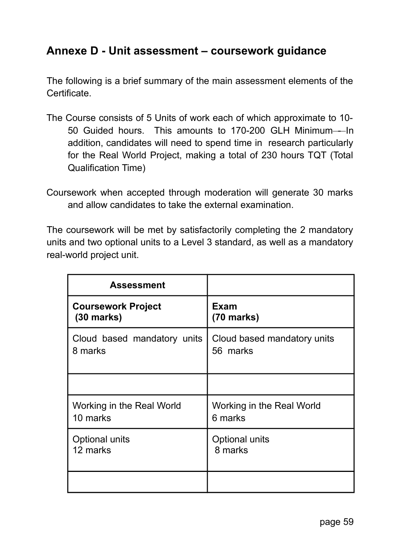# **Annexe D - Unit assessment – coursework guidance**

The following is a brief summary of the main assessment elements of the Certificate.

- The Course consists of 5 Units of work each of which approximate to 10- 50 Guided hours. This amounts to 170-200 GLH Minimum--In addition, candidates will need to spend time in research particularly for the Real World Project, making a total of 230 hours TQT (Total Qualification Time)
- Coursework when accepted through moderation will generate 30 marks and allow candidates to take the external examination.

The coursework will be met by satisfactorily completing the 2 mandatory units and two optional units to a Level 3 standard, as well as a mandatory real-world project unit.

| <b>Assessment</b>           |                             |
|-----------------------------|-----------------------------|
| <b>Coursework Project</b>   | Exam                        |
| $(30$ marks)                | $(70$ marks)                |
| Cloud based mandatory units | Cloud based mandatory units |
| 8 marks                     | 56 marks                    |
|                             |                             |
| Working in the Real World   | Working in the Real World   |
| 10 marks                    | 6 marks                     |
| Optional units              | Optional units              |
| 12 marks                    | 8 marks                     |
|                             |                             |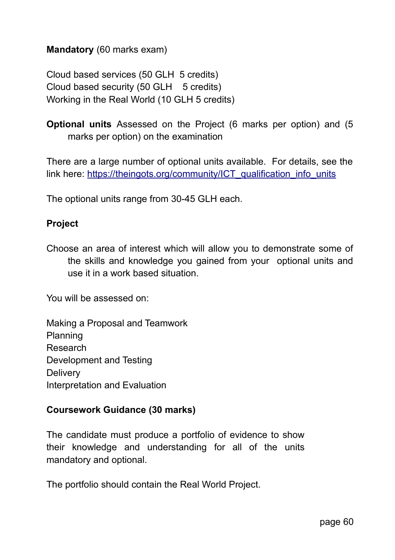### **Mandatory** (60 marks exam)

Cloud based services (50 GLH 5 credits) Cloud based security (50 GLH 5 credits) Working in the Real World (10 GLH 5 credits)

**Optional units** Assessed on the Project (6 marks per option) and (5 marks per option) on the examination

There are a large number of optional units available. For details, see the link here: https://theingots.org/community/ICT\_qualification\_info\_units

The optional units range from 30-45 GLH each.

#### **Project**

Choose an area of interest which will allow you to demonstrate some of the skills and knowledge you gained from your optional units and use it in a work based situation.

You will be assessed on:

Making a Proposal and Teamwork Planning Research Development and Testing **Delivery** Interpretation and Evaluation

#### **Coursework Guidance (30 marks)**

The candidate must produce a portfolio of evidence to show their knowledge and understanding for all of the units mandatory and optional.

The portfolio should contain the Real World Project.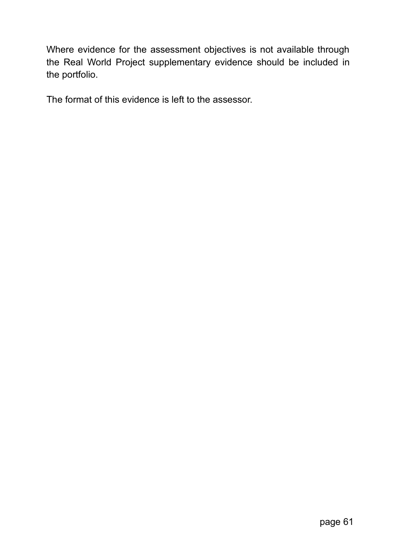Where evidence for the assessment objectives is not available through the Real World Project supplementary evidence should be included in the portfolio.

The format of this evidence is left to the assessor.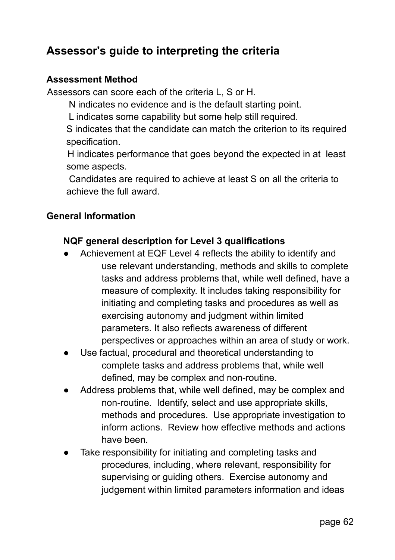# **Assessor's guide to interpreting the criteria**

### **Assessment Method**

Assessors can score each of the criteria L, S or H.

N indicates no evidence and is the default starting point.

L indicates some capability but some help still required.

S indicates that the candidate can match the criterion to its required specification.

 H indicates performance that goes beyond the expected in at least some aspects.

 Candidates are required to achieve at least S on all the criteria to achieve the full award.

### **General Information**

### **NQF general description for Level 3 qualifications**

- Achievement at EQF Level 4 reflects the ability to identify and use relevant understanding, methods and skills to complete tasks and address problems that, while well defined, have a measure of complexity. It includes taking responsibility for initiating and completing tasks and procedures as well as exercising autonomy and judgment within limited parameters. It also reflects awareness of different perspectives or approaches within an area of study or work.
- Use factual, procedural and theoretical understanding to complete tasks and address problems that, while well defined, may be complex and non-routine.
- Address problems that, while well defined, may be complex and non-routine. Identify, select and use appropriate skills, methods and procedures. Use appropriate investigation to inform actions. Review how effective methods and actions have been.
- Take responsibility for initiating and completing tasks and procedures, including, where relevant, responsibility for supervising or guiding others. Exercise autonomy and judgement within limited parameters information and ideas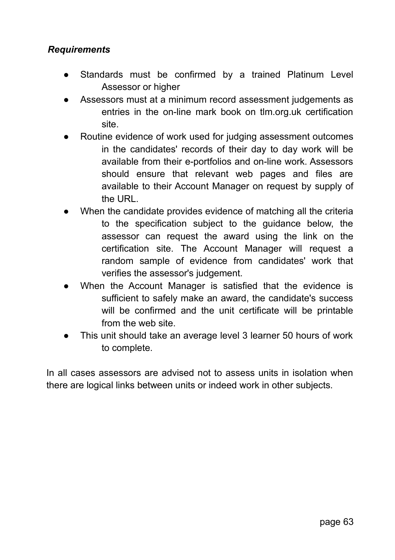### *Requirements*

- Standards must be confirmed by a trained Platinum Level Assessor or higher
- Assessors must at a minimum record assessment judgements as entries in the on-line mark book on tlm.org.uk certification site.
- Routine evidence of work used for judging assessment outcomes in the candidates' records of their day to day work will be available from their e-portfolios and on-line work. Assessors should ensure that relevant web pages and files are available to their Account Manager on request by supply of the URL.
- When the candidate provides evidence of matching all the criteria to the specification subject to the guidance below, the assessor can request the award using the link on the certification site. The Account Manager will request a random sample of evidence from candidates' work that verifies the assessor's judgement.
- When the Account Manager is satisfied that the evidence is sufficient to safely make an award, the candidate's success will be confirmed and the unit certificate will be printable from the web site.
- This unit should take an average level 3 learner 50 hours of work to complete.

In all cases assessors are advised not to assess units in isolation when there are logical links between units or indeed work in other subjects.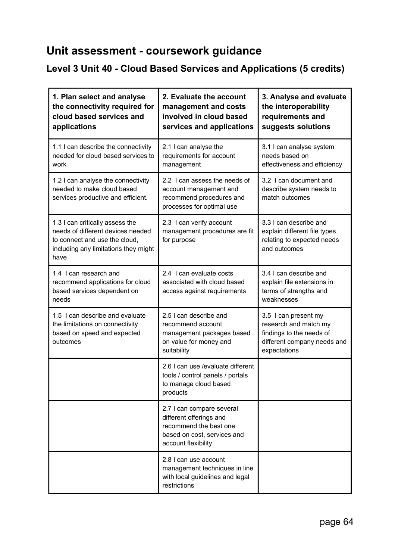# **Unit assessment - coursework guidance**

# **Level 3 Unit 40 - Cloud Based Services and Applications (5 credits)**

| 1. Plan select and analyse<br>the connectivity required for<br>cloud based services and<br>applications                                               | 2. Evaluate the account<br>management and costs<br>involved in cloud based<br>services and applications                              | 3. Analyse and evaluate<br>the interoperability<br>requirements and<br>suggests solutions                                |
|-------------------------------------------------------------------------------------------------------------------------------------------------------|--------------------------------------------------------------------------------------------------------------------------------------|--------------------------------------------------------------------------------------------------------------------------|
| 1.1 I can describe the connectivity<br>needed for cloud based services to<br>work                                                                     | 2.1 I can analyse the<br>requirements for account<br>management                                                                      | 3.1 I can analyse system<br>needs based on<br>effectiveness and efficiency                                               |
| 1.2 I can analyse the connectivity<br>needed to make cloud based<br>services productive and efficient.                                                | 2.2 I can assess the needs of<br>account management and<br>recommend procedures and<br>processes for optimal use                     | 3.2 I can document and<br>describe system needs to<br>match outcomes                                                     |
| 1.3 I can critically assess the<br>needs of different devices needed<br>to connect and use the cloud.<br>including any limitations they might<br>have | 2.3 I can verify account<br>management procedures are fit<br>for purpose                                                             | 3.3 I can describe and<br>explain different file types<br>relating to expected needs<br>and outcomes                     |
| 1.4 I can research and<br>recommend applications for cloud<br>based services dependent on<br>needs                                                    | 2.4 I can evaluate costs<br>associated with cloud based<br>access against requirements                                               | 3.4 I can describe and<br>explain file extensions in<br>terms of strengths and<br>weaknesses                             |
| 1.5 I can describe and evaluate<br>the limitations on connectivity<br>based on speed and expected<br>outcomes                                         | 2.5 I can describe and<br>recommend account<br>management packages based<br>on value for money and<br>suitability                    | 3.5 I can present my<br>research and match my<br>findings to the needs of<br>different company needs and<br>expectations |
|                                                                                                                                                       | 2.6 I can use /evaluate different<br>tools / control panels / portals<br>to manage cloud based<br>products                           |                                                                                                                          |
|                                                                                                                                                       | 2.7 I can compare several<br>different offerings and<br>recommend the best one<br>based on cost, services and<br>account flexibility |                                                                                                                          |
|                                                                                                                                                       | 2.8 I can use account<br>management techniques in line<br>with local quidelines and legal<br>restrictions                            |                                                                                                                          |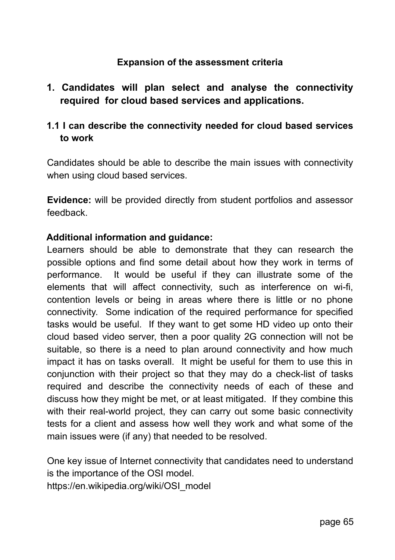### **Expansion of the assessment criteria**

# **1. Candidates will plan select and analyse the connectivity required for cloud based services and applications.**

### **1.1 I can describe the connectivity needed for cloud based services to work**

Candidates should be able to describe the main issues with connectivity when using cloud based services.

**Evidence:** will be provided directly from student portfolios and assessor feedback.

#### **Additional information and guidance:**

Learners should be able to demonstrate that they can research the possible options and find some detail about how they work in terms of performance. It would be useful if they can illustrate some of the elements that will affect connectivity, such as interference on wi-fi, contention levels or being in areas where there is little or no phone connectivity. Some indication of the required performance for specified tasks would be useful. If they want to get some HD video up onto their cloud based video server, then a poor quality 2G connection will not be suitable, so there is a need to plan around connectivity and how much impact it has on tasks overall. It might be useful for them to use this in conjunction with their project so that they may do a check-list of tasks required and describe the connectivity needs of each of these and discuss how they might be met, or at least mitigated. If they combine this with their real-world project, they can carry out some basic connectivity tests for a client and assess how well they work and what some of the main issues were (if any) that needed to be resolved.

One key issue of Internet connectivity that candidates need to understand is the importance of the OSI model.

https://en.wikipedia.org/wiki/OSI\_model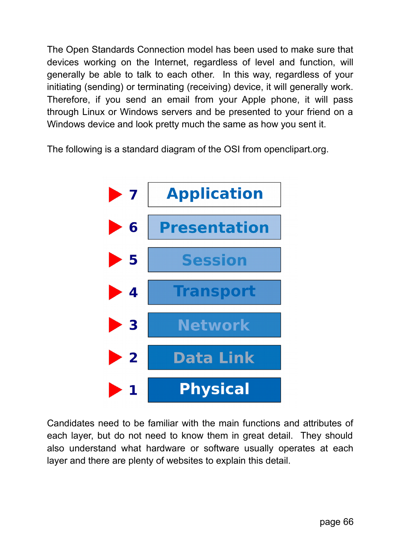The Open Standards Connection model has been used to make sure that devices working on the Internet, regardless of level and function, will generally be able to talk to each other. In this way, regardless of your initiating (sending) or terminating (receiving) device, it will generally work. Therefore, if you send an email from your Apple phone, it will pass through Linux or Windows servers and be presented to your friend on a Windows device and look pretty much the same as how you sent it.

The following is a standard diagram of the OSI from openclipart.org.



Candidates need to be familiar with the main functions and attributes of each layer, but do not need to know them in great detail. They should also understand what hardware or software usually operates at each layer and there are plenty of websites to explain this detail.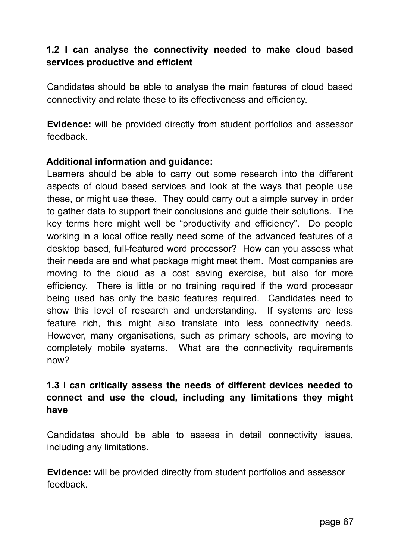# **1.2 I can analyse the connectivity needed to make cloud based services productive and efficient**

Candidates should be able to analyse the main features of cloud based connectivity and relate these to its effectiveness and efficiency.

**Evidence:** will be provided directly from student portfolios and assessor feedback.

#### **Additional information and guidance:**

Learners should be able to carry out some research into the different aspects of cloud based services and look at the ways that people use these, or might use these. They could carry out a simple survey in order to gather data to support their conclusions and guide their solutions. The key terms here might well be "productivity and efficiency". Do people working in a local office really need some of the advanced features of a desktop based, full-featured word processor? How can you assess what their needs are and what package might meet them. Most companies are moving to the cloud as a cost saving exercise, but also for more efficiency. There is little or no training required if the word processor being used has only the basic features required. Candidates need to show this level of research and understanding. If systems are less feature rich, this might also translate into less connectivity needs. However, many organisations, such as primary schools, are moving to completely mobile systems. What are the connectivity requirements now?

## **1.3 I can critically assess the needs of different devices needed to connect and use the cloud, including any limitations they might have**

Candidates should be able to assess in detail connectivity issues, including any limitations.

**Evidence:** will be provided directly from student portfolios and assessor feedback.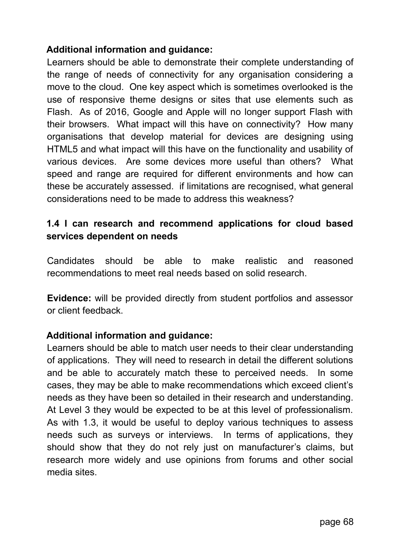### **Additional information and guidance:**

Learners should be able to demonstrate their complete understanding of the range of needs of connectivity for any organisation considering a move to the cloud. One key aspect which is sometimes overlooked is the use of responsive theme designs or sites that use elements such as Flash. As of 2016, Google and Apple will no longer support Flash with their browsers. What impact will this have on connectivity? How many organisations that develop material for devices are designing using HTML5 and what impact will this have on the functionality and usability of various devices. Are some devices more useful than others? What speed and range are required for different environments and how can these be accurately assessed. if limitations are recognised, what general considerations need to be made to address this weakness?

### **1.4 I can research and recommend applications for cloud based services dependent on needs**

Candidates should be able to make realistic and reasoned recommendations to meet real needs based on solid research.

**Evidence:** will be provided directly from student portfolios and assessor or client feedback.

#### **Additional information and guidance:**

Learners should be able to match user needs to their clear understanding of applications. They will need to research in detail the different solutions and be able to accurately match these to perceived needs. In some cases, they may be able to make recommendations which exceed client's needs as they have been so detailed in their research and understanding. At Level 3 they would be expected to be at this level of professionalism. As with 1.3, it would be useful to deploy various techniques to assess needs such as surveys or interviews. In terms of applications, they should show that they do not rely just on manufacturer's claims, but research more widely and use opinions from forums and other social media sites.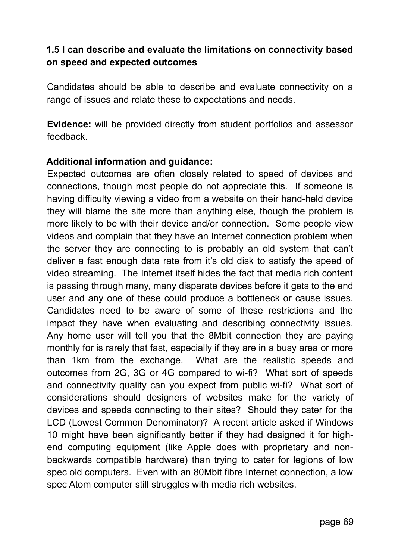# **1.5 I can describe and evaluate the limitations on connectivity based on speed and expected outcomes**

Candidates should be able to describe and evaluate connectivity on a range of issues and relate these to expectations and needs.

**Evidence:** will be provided directly from student portfolios and assessor feedback.

#### **Additional information and guidance:**

Expected outcomes are often closely related to speed of devices and connections, though most people do not appreciate this. If someone is having difficulty viewing a video from a website on their hand-held device they will blame the site more than anything else, though the problem is more likely to be with their device and/or connection. Some people view videos and complain that they have an Internet connection problem when the server they are connecting to is probably an old system that can't deliver a fast enough data rate from it's old disk to satisfy the speed of video streaming. The Internet itself hides the fact that media rich content is passing through many, many disparate devices before it gets to the end user and any one of these could produce a bottleneck or cause issues. Candidates need to be aware of some of these restrictions and the impact they have when evaluating and describing connectivity issues. Any home user will tell you that the 8Mbit connection they are paying monthly for is rarely that fast, especially if they are in a busy area or more than 1km from the exchange. What are the realistic speeds and outcomes from 2G, 3G or 4G compared to wi-fi? What sort of speeds and connectivity quality can you expect from public wi-fi? What sort of considerations should designers of websites make for the variety of devices and speeds connecting to their sites? Should they cater for the LCD (Lowest Common Denominator)? A recent article asked if Windows 10 might have been significantly better if they had designed it for highend computing equipment (like Apple does with proprietary and nonbackwards compatible hardware) than trying to cater for legions of low spec old computers. Even with an 80Mbit fibre Internet connection, a low spec Atom computer still struggles with media rich websites.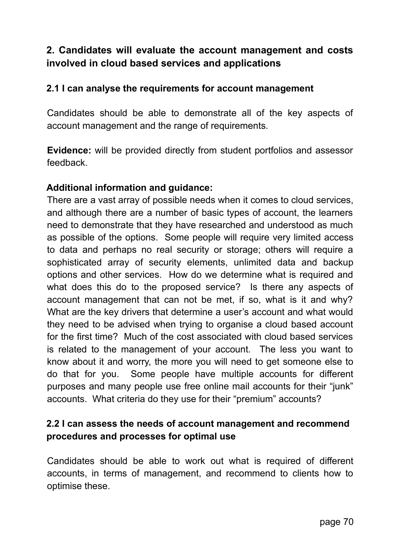# **2. Candidates will evaluate the account management and costs involved in cloud based services and applications**

#### **2.1 I can analyse the requirements for account management**

Candidates should be able to demonstrate all of the key aspects of account management and the range of requirements.

**Evidence:** will be provided directly from student portfolios and assessor feedback.

#### **Additional information and guidance:**

There are a vast array of possible needs when it comes to cloud services, and although there are a number of basic types of account, the learners need to demonstrate that they have researched and understood as much as possible of the options. Some people will require very limited access to data and perhaps no real security or storage; others will require a sophisticated array of security elements, unlimited data and backup options and other services. How do we determine what is required and what does this do to the proposed service? Is there any aspects of account management that can not be met, if so, what is it and why? What are the key drivers that determine a user's account and what would they need to be advised when trying to organise a cloud based account for the first time? Much of the cost associated with cloud based services is related to the management of your account. The less you want to know about it and worry, the more you will need to get someone else to do that for you. Some people have multiple accounts for different purposes and many people use free online mail accounts for their "junk" accounts. What criteria do they use for their "premium" accounts?

# **2.2 I can assess the needs of account management and recommend procedures and processes for optimal use**

Candidates should be able to work out what is required of different accounts, in terms of management, and recommend to clients how to optimise these.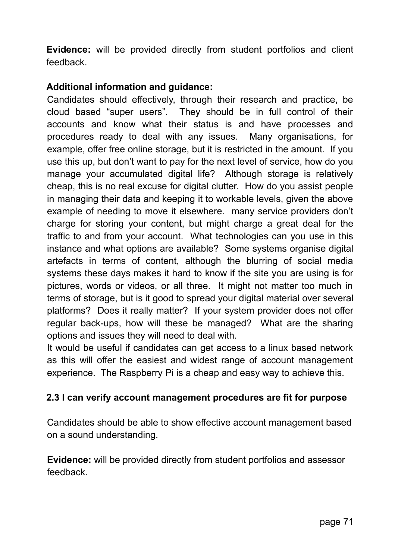**Evidence:** will be provided directly from student portfolios and client feedback.

### **Additional information and guidance:**

Candidates should effectively, through their research and practice, be cloud based "super users". They should be in full control of their accounts and know what their status is and have processes and procedures ready to deal with any issues. Many organisations, for example, offer free online storage, but it is restricted in the amount. If you use this up, but don't want to pay for the next level of service, how do you manage your accumulated digital life? Although storage is relatively cheap, this is no real excuse for digital clutter. How do you assist people in managing their data and keeping it to workable levels, given the above example of needing to move it elsewhere. many service providers don't charge for storing your content, but might charge a great deal for the traffic to and from your account. What technologies can you use in this instance and what options are available? Some systems organise digital artefacts in terms of content, although the blurring of social media systems these days makes it hard to know if the site you are using is for pictures, words or videos, or all three. It might not matter too much in terms of storage, but is it good to spread your digital material over several platforms? Does it really matter? If your system provider does not offer regular back-ups, how will these be managed? What are the sharing options and issues they will need to deal with.

It would be useful if candidates can get access to a linux based network as this will offer the easiest and widest range of account management experience. The Raspberry Pi is a cheap and easy way to achieve this.

### **2.3 I can verify account management procedures are fit for purpose**

Candidates should be able to show effective account management based on a sound understanding.

**Evidence:** will be provided directly from student portfolios and assessor feedback.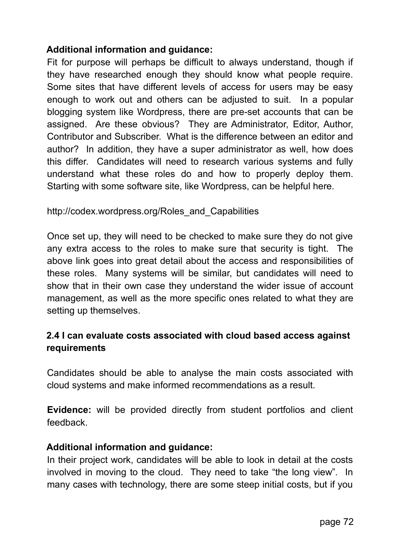### **Additional information and guidance:**

Fit for purpose will perhaps be difficult to always understand, though if they have researched enough they should know what people require. Some sites that have different levels of access for users may be easy enough to work out and others can be adjusted to suit. In a popular blogging system like Wordpress, there are pre-set accounts that can be assigned. Are these obvious? They are Administrator, Editor, Author, Contributor and Subscriber. What is the difference between an editor and author? In addition, they have a super administrator as well, how does this differ. Candidates will need to research various systems and fully understand what these roles do and how to properly deploy them. Starting with some software site, like Wordpress, can be helpful here.

### http://codex.wordpress.org/Roles\_and\_Capabilities

Once set up, they will need to be checked to make sure they do not give any extra access to the roles to make sure that security is tight. The above link goes into great detail about the access and responsibilities of these roles. Many systems will be similar, but candidates will need to show that in their own case they understand the wider issue of account management, as well as the more specific ones related to what they are setting up themselves.

# **2.4 I can evaluate costs associated with cloud based access against requirements**

Candidates should be able to analyse the main costs associated with cloud systems and make informed recommendations as a result.

**Evidence:** will be provided directly from student portfolios and client feedback.

#### **Additional information and guidance:**

In their project work, candidates will be able to look in detail at the costs involved in moving to the cloud. They need to take "the long view". In many cases with technology, there are some steep initial costs, but if you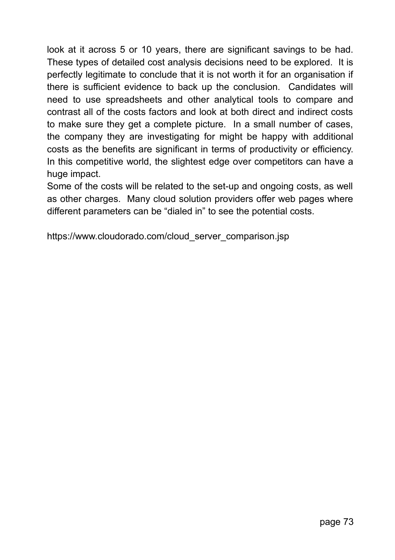look at it across 5 or 10 years, there are significant savings to be had. These types of detailed cost analysis decisions need to be explored. It is perfectly legitimate to conclude that it is not worth it for an organisation if there is sufficient evidence to back up the conclusion. Candidates will need to use spreadsheets and other analytical tools to compare and contrast all of the costs factors and look at both direct and indirect costs to make sure they get a complete picture. In a small number of cases, the company they are investigating for might be happy with additional costs as the benefits are significant in terms of productivity or efficiency. In this competitive world, the slightest edge over competitors can have a huge impact.

Some of the costs will be related to the set-up and ongoing costs, as well as other charges. Many cloud solution providers offer web pages where different parameters can be "dialed in" to see the potential costs.

https://www.cloudorado.com/cloud\_server\_comparison.jsp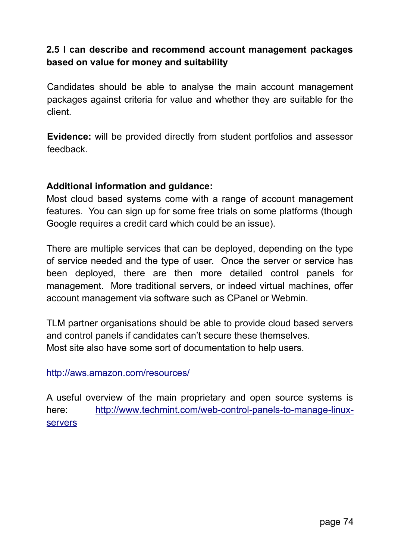## **2.5 I can describe and recommend account management packages based on value for money and suitability**

Candidates should be able to analyse the main account management packages against criteria for value and whether they are suitable for the client.

**Evidence:** will be provided directly from student portfolios and assessor feedback.

#### **Additional information and guidance:**

Most cloud based systems come with a range of account management features. You can sign up for some free trials on some platforms (though Google requires a credit card which could be an issue).

There are multiple services that can be deployed, depending on the type of service needed and the type of user. Once the server or service has been deployed, there are then more detailed control panels for management. More traditional servers, or indeed virtual machines, offer account management via software such as CPanel or Webmin.

TLM partner organisations should be able to provide cloud based servers and control panels if candidates can't secure these themselves. Most site also have some sort of documentation to help users.

#### http://aws.amazon.com/resources/

A useful overview of the main proprietary and open source systems is here: http://www.techmint.com/web-control-panels-to-manage-linux[servers](http://www.techmint.com/web-control-panels-to-manage-linux-servers)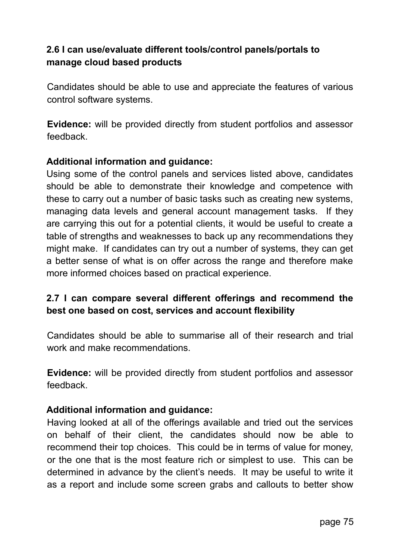## **2.6 I can use/evaluate different tools/control panels/portals to manage cloud based products**

Candidates should be able to use and appreciate the features of various control software systems.

**Evidence:** will be provided directly from student portfolios and assessor feedback.

#### **Additional information and guidance:**

Using some of the control panels and services listed above, candidates should be able to demonstrate their knowledge and competence with these to carry out a number of basic tasks such as creating new systems, managing data levels and general account management tasks. If they are carrying this out for a potential clients, it would be useful to create a table of strengths and weaknesses to back up any recommendations they might make. If candidates can try out a number of systems, they can get a better sense of what is on offer across the range and therefore make more informed choices based on practical experience.

## **2.7 I can compare several different offerings and recommend the best one based on cost, services and account flexibility**

Candidates should be able to summarise all of their research and trial work and make recommendations.

**Evidence:** will be provided directly from student portfolios and assessor feedback.

#### **Additional information and guidance:**

Having looked at all of the offerings available and tried out the services on behalf of their client, the candidates should now be able to recommend their top choices. This could be in terms of value for money, or the one that is the most feature rich or simplest to use. This can be determined in advance by the client's needs. It may be useful to write it as a report and include some screen grabs and callouts to better show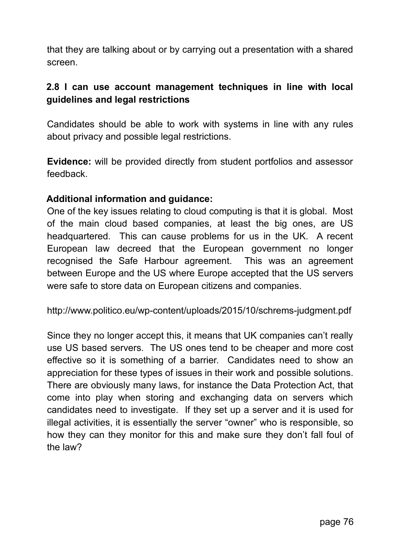that they are talking about or by carrying out a presentation with a shared screen.

## **2.8 I can use account management techniques in line with local guidelines and legal restrictions**

Candidates should be able to work with systems in line with any rules about privacy and possible legal restrictions.

**Evidence:** will be provided directly from student portfolios and assessor feedback.

#### **Additional information and guidance:**

One of the key issues relating to cloud computing is that it is global. Most of the main cloud based companies, at least the big ones, are US headquartered. This can cause problems for us in the UK. A recent European law decreed that the European government no longer recognised the Safe Harbour agreement. This was an agreement between Europe and the US where Europe accepted that the US servers were safe to store data on European citizens and companies.

http://www.politico.eu/wp-content/uploads/2015/10/schrems-judgment.pdf

Since they no longer accept this, it means that UK companies can't really use US based servers. The US ones tend to be cheaper and more cost effective so it is something of a barrier. Candidates need to show an appreciation for these types of issues in their work and possible solutions. There are obviously many laws, for instance the Data Protection Act, that come into play when storing and exchanging data on servers which candidates need to investigate. If they set up a server and it is used for illegal activities, it is essentially the server "owner" who is responsible, so how they can they monitor for this and make sure they don't fall foul of the law?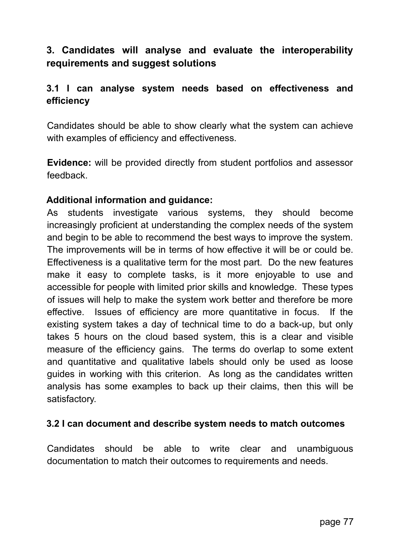# **3. Candidates will analyse and evaluate the interoperability requirements and suggest solutions**

### **3.1 I can analyse system needs based on effectiveness and efficiency**

Candidates should be able to show clearly what the system can achieve with examples of efficiency and effectiveness.

**Evidence:** will be provided directly from student portfolios and assessor feedback.

#### **Additional information and guidance:**

As students investigate various systems, they should become increasingly proficient at understanding the complex needs of the system and begin to be able to recommend the best ways to improve the system. The improvements will be in terms of how effective it will be or could be. Effectiveness is a qualitative term for the most part. Do the new features make it easy to complete tasks, is it more enjoyable to use and accessible for people with limited prior skills and knowledge. These types of issues will help to make the system work better and therefore be more effective. Issues of efficiency are more quantitative in focus. If the existing system takes a day of technical time to do a back-up, but only takes 5 hours on the cloud based system, this is a clear and visible measure of the efficiency gains. The terms do overlap to some extent and quantitative and qualitative labels should only be used as loose guides in working with this criterion. As long as the candidates written analysis has some examples to back up their claims, then this will be satisfactory.

#### **3.2 I can document and describe system needs to match outcomes**

Candidates should be able to write clear and unambiguous documentation to match their outcomes to requirements and needs.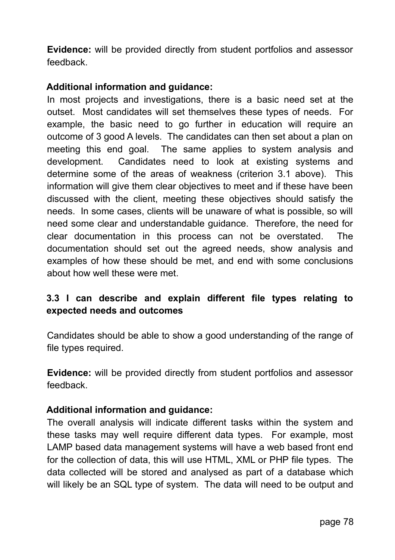**Evidence:** will be provided directly from student portfolios and assessor feedback.

### **Additional information and guidance:**

In most projects and investigations, there is a basic need set at the outset. Most candidates will set themselves these types of needs. For example, the basic need to go further in education will require an outcome of 3 good A levels. The candidates can then set about a plan on meeting this end goal. The same applies to system analysis and development. Candidates need to look at existing systems and determine some of the areas of weakness (criterion 3.1 above). This information will give them clear objectives to meet and if these have been discussed with the client, meeting these objectives should satisfy the needs. In some cases, clients will be unaware of what is possible, so will need some clear and understandable guidance. Therefore, the need for clear documentation in this process can not be overstated. The documentation should set out the agreed needs, show analysis and examples of how these should be met, and end with some conclusions about how well these were met.

## **3.3 I can describe and explain different file types relating to expected needs and outcomes**

Candidates should be able to show a good understanding of the range of file types required.

**Evidence:** will be provided directly from student portfolios and assessor feedback.

### **Additional information and guidance:**

The overall analysis will indicate different tasks within the system and these tasks may well require different data types. For example, most LAMP based data management systems will have a web based front end for the collection of data, this will use HTML, XML or PHP file types. The data collected will be stored and analysed as part of a database which will likely be an SQL type of system. The data will need to be output and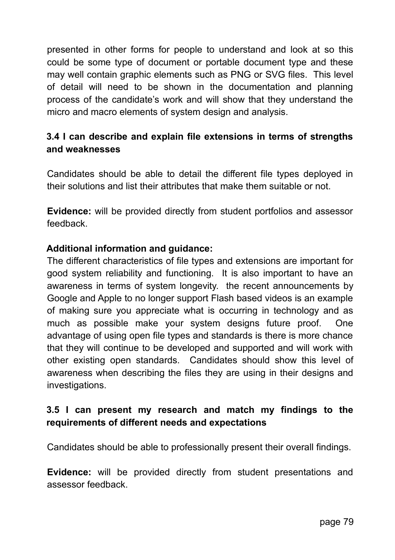presented in other forms for people to understand and look at so this could be some type of document or portable document type and these may well contain graphic elements such as PNG or SVG files. This level of detail will need to be shown in the documentation and planning process of the candidate's work and will show that they understand the micro and macro elements of system design and analysis.

## **3.4 I can describe and explain file extensions in terms of strengths and weaknesses**

Candidates should be able to detail the different file types deployed in their solutions and list their attributes that make them suitable or not.

**Evidence:** will be provided directly from student portfolios and assessor feedback.

### **Additional information and guidance:**

The different characteristics of file types and extensions are important for good system reliability and functioning. It is also important to have an awareness in terms of system longevity. the recent announcements by Google and Apple to no longer support Flash based videos is an example of making sure you appreciate what is occurring in technology and as much as possible make your system designs future proof. One advantage of using open file types and standards is there is more chance that they will continue to be developed and supported and will work with other existing open standards. Candidates should show this level of awareness when describing the files they are using in their designs and investigations.

## **3.5 I can present my research and match my findings to the requirements of different needs and expectations**

Candidates should be able to professionally present their overall findings.

**Evidence:** will be provided directly from student presentations and assessor feedback.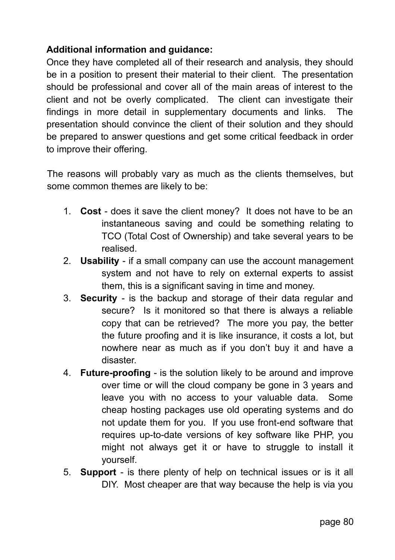## **Additional information and guidance:**

Once they have completed all of their research and analysis, they should be in a position to present their material to their client. The presentation should be professional and cover all of the main areas of interest to the client and not be overly complicated. The client can investigate their findings in more detail in supplementary documents and links. The presentation should convince the client of their solution and they should be prepared to answer questions and get some critical feedback in order to improve their offering.

The reasons will probably vary as much as the clients themselves, but some common themes are likely to be:

- 1. **Cost** does it save the client money? It does not have to be an instantaneous saving and could be something relating to TCO (Total Cost of Ownership) and take several years to be realised.
- 2. **Usability** if a small company can use the account management system and not have to rely on external experts to assist them, this is a significant saving in time and money.
- 3. **Security** is the backup and storage of their data regular and secure? Is it monitored so that there is always a reliable copy that can be retrieved? The more you pay, the better the future proofing and it is like insurance, it costs a lot, but nowhere near as much as if you don't buy it and have a disaster.
- 4. **Future-proofing** is the solution likely to be around and improve over time or will the cloud company be gone in 3 years and leave you with no access to your valuable data. Some cheap hosting packages use old operating systems and do not update them for you. If you use front-end software that requires up-to-date versions of key software like PHP, you might not always get it or have to struggle to install it yourself.
- 5. **Support** is there plenty of help on technical issues or is it all DIY. Most cheaper are that way because the help is via you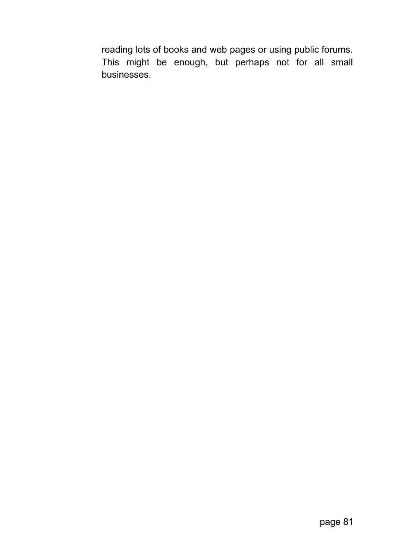reading lots of books and web pages or using public forums. This might be enough, but perhaps not for all small businesses.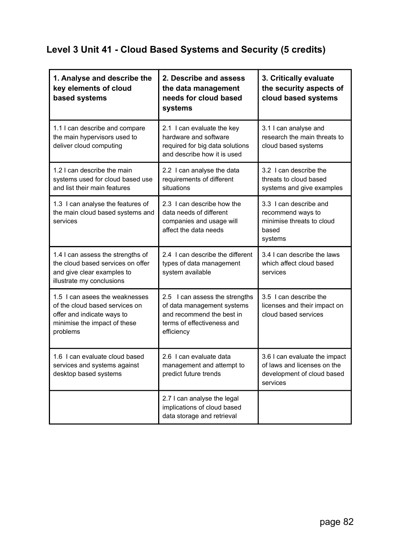## **Level 3 Unit 41 - Cloud Based Systems and Security (5 credits)**

| 1. Analyse and describe the<br>key elements of cloud<br>based systems                                                                      | 2. Describe and assess<br>the data management<br>needs for cloud based<br>systems                                                     | 3. Critically evaluate<br>the security aspects of<br>cloud based systems                               |
|--------------------------------------------------------------------------------------------------------------------------------------------|---------------------------------------------------------------------------------------------------------------------------------------|--------------------------------------------------------------------------------------------------------|
| 1.1 I can describe and compare<br>the main hypervisors used to<br>deliver cloud computing                                                  | 2.1 I can evaluate the key<br>hardware and software<br>required for big data solutions<br>and describe how it is used                 | 3.1 I can analyse and<br>research the main threats to<br>cloud based systems                           |
| 1.2 I can describe the main<br>systems used for cloud based use<br>and list their main features                                            | 2.2 I can analyse the data<br>requirements of different<br>situations                                                                 | 3.2 I can describe the<br>threats to cloud based<br>systems and give examples                          |
| 1.3 I can analyse the features of<br>the main cloud based systems and<br>services                                                          | 2.3 I can describe how the<br>data needs of different<br>companies and usage will<br>affect the data needs                            | 3.3 I can describe and<br>recommend ways to<br>minimise threats to cloud<br>based<br>systems           |
| 1.4 I can assess the strengths of<br>the cloud based services on offer<br>and give clear examples to<br>illustrate my conclusions          | 2.4 I can describe the different<br>types of data management<br>system available                                                      | 3.4 I can describe the laws<br>which affect cloud based<br>services                                    |
| 1.5 I can asees the weaknesses<br>of the cloud based services on<br>offer and indicate ways to<br>minimise the impact of these<br>problems | 2.5 I can assess the strengths<br>of data management systems<br>and recommend the best in<br>terms of effectiveness and<br>efficiency | 3.5 I can describe the<br>licenses and their impact on<br>cloud based services                         |
| 1.6 I can evaluate cloud based<br>services and systems against<br>desktop based systems                                                    | 2.6 I can evaluate data<br>management and attempt to<br>predict future trends                                                         | 3.6 I can evaluate the impact<br>of laws and licenses on the<br>development of cloud based<br>services |
|                                                                                                                                            | 2.7 I can analyse the legal<br>implications of cloud based<br>data storage and retrieval                                              |                                                                                                        |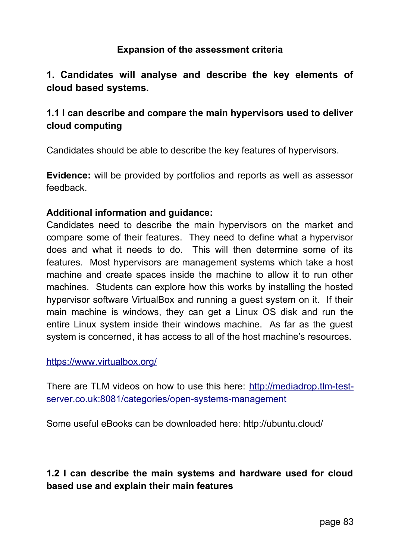### **Expansion of the assessment criteria**

## **1. Candidates will analyse and describe the key elements of cloud based systems.**

## **1.1 I can describe and compare the main hypervisors used to deliver cloud computing**

Candidates should be able to describe the key features of hypervisors.

**Evidence:** will be provided by portfolios and reports as well as assessor feedback.

#### **Additional information and guidance:**

Candidates need to describe the main hypervisors on the market and compare some of their features. They need to define what a hypervisor does and what it needs to do. This will then determine some of its features. Most hypervisors are management systems which take a host machine and create spaces inside the machine to allow it to run other machines. Students can explore how this works by installing the hosted hypervisor software VirtualBox and running a guest system on it. If their main machine is windows, they can get a Linux OS disk and run the entire Linux system inside their windows machine. As far as the guest system is concerned, it has access to all of the host machine's resources.

#### https://www.virtualbox.org/

There are TLM videos on how to use this here: http://mediadrop.tlm-testserver.co.uk:8081/categories/open-systems-management

Some useful eBooks can be downloaded here: http://ubuntu.cloud/

## **1.2 I can describe the main systems and hardware used for cloud based use and explain their main features**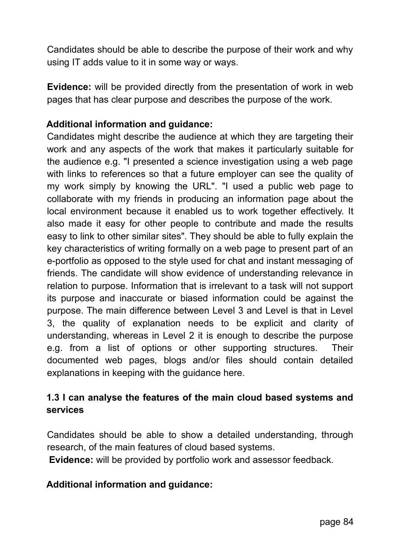Candidates should be able to describe the purpose of their work and why using IT adds value to it in some way or ways.

**Evidence:** will be provided directly from the presentation of work in web pages that has clear purpose and describes the purpose of the work.

### **Additional information and guidance:**

Candidates might describe the audience at which they are targeting their work and any aspects of the work that makes it particularly suitable for the audience e.g. "I presented a science investigation using a web page with links to references so that a future employer can see the quality of my work simply by knowing the URL". "I used a public web page to collaborate with my friends in producing an information page about the local environment because it enabled us to work together effectively. It also made it easy for other people to contribute and made the results easy to link to other similar sites". They should be able to fully explain the key characteristics of writing formally on a web page to present part of an e-portfolio as opposed to the style used for chat and instant messaging of friends. The candidate will show evidence of understanding relevance in relation to purpose. Information that is irrelevant to a task will not support its purpose and inaccurate or biased information could be against the purpose. The main difference between Level 3 and Level is that in Level 3, the quality of explanation needs to be explicit and clarity of understanding, whereas in Level 2 it is enough to describe the purpose e.g. from a list of options or other supporting structures. Their documented web pages, blogs and/or files should contain detailed explanations in keeping with the guidance here.

## **1.3 I can analyse the features of the main cloud based systems and services**

Candidates should be able to show a detailed understanding, through research, of the main features of cloud based systems.

**Evidence:** will be provided by portfolio work and assessor feedback.

### **Additional information and guidance:**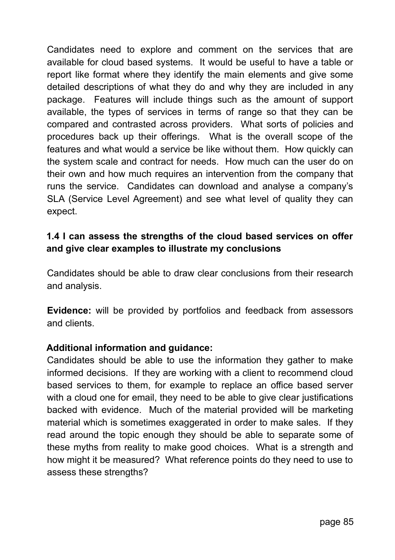Candidates need to explore and comment on the services that are available for cloud based systems. It would be useful to have a table or report like format where they identify the main elements and give some detailed descriptions of what they do and why they are included in any package. Features will include things such as the amount of support available, the types of services in terms of range so that they can be compared and contrasted across providers. What sorts of policies and procedures back up their offerings. What is the overall scope of the features and what would a service be like without them. How quickly can the system scale and contract for needs. How much can the user do on their own and how much requires an intervention from the company that runs the service. Candidates can download and analyse a company's SLA (Service Level Agreement) and see what level of quality they can expect.

## **1.4 I can assess the strengths of the cloud based services on offer and give clear examples to illustrate my conclusions**

Candidates should be able to draw clear conclusions from their research and analysis.

**Evidence:** will be provided by portfolios and feedback from assessors and clients.

#### **Additional information and guidance:**

Candidates should be able to use the information they gather to make informed decisions. If they are working with a client to recommend cloud based services to them, for example to replace an office based server with a cloud one for email, they need to be able to give clear justifications backed with evidence. Much of the material provided will be marketing material which is sometimes exaggerated in order to make sales. If they read around the topic enough they should be able to separate some of these myths from reality to make good choices. What is a strength and how might it be measured? What reference points do they need to use to assess these strengths?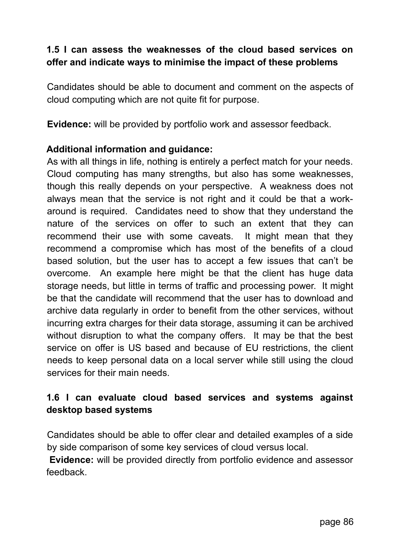## **1.5 I can assess the weaknesses of the cloud based services on offer and indicate ways to minimise the impact of these problems**

Candidates should be able to document and comment on the aspects of cloud computing which are not quite fit for purpose.

**Evidence:** will be provided by portfolio work and assessor feedback.

### **Additional information and guidance:**

As with all things in life, nothing is entirely a perfect match for your needs. Cloud computing has many strengths, but also has some weaknesses, though this really depends on your perspective. A weakness does not always mean that the service is not right and it could be that a workaround is required. Candidates need to show that they understand the nature of the services on offer to such an extent that they can recommend their use with some caveats. It might mean that they recommend a compromise which has most of the benefits of a cloud based solution, but the user has to accept a few issues that can't be overcome. An example here might be that the client has huge data storage needs, but little in terms of traffic and processing power. It might be that the candidate will recommend that the user has to download and archive data regularly in order to benefit from the other services, without incurring extra charges for their data storage, assuming it can be archived without disruption to what the company offers. It may be that the best service on offer is US based and because of EU restrictions, the client needs to keep personal data on a local server while still using the cloud services for their main needs.

# **1.6 I can evaluate cloud based services and systems against desktop based systems**

Candidates should be able to offer clear and detailed examples of a side by side comparison of some key services of cloud versus local.

**Evidence:** will be provided directly from portfolio evidence and assessor feedback.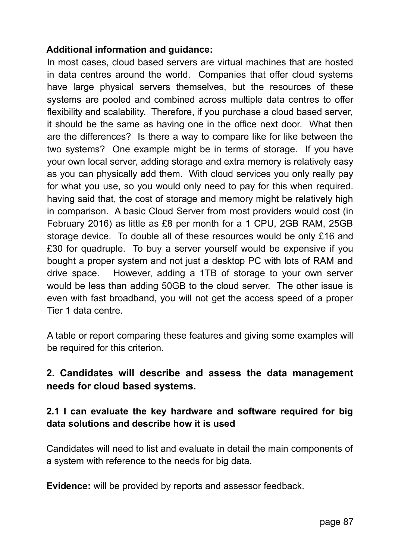### **Additional information and guidance:**

In most cases, cloud based servers are virtual machines that are hosted in data centres around the world. Companies that offer cloud systems have large physical servers themselves, but the resources of these systems are pooled and combined across multiple data centres to offer flexibility and scalability. Therefore, if you purchase a cloud based server, it should be the same as having one in the office next door. What then are the differences? Is there a way to compare like for like between the two systems? One example might be in terms of storage. If you have your own local server, adding storage and extra memory is relatively easy as you can physically add them. With cloud services you only really pay for what you use, so you would only need to pay for this when required. having said that, the cost of storage and memory might be relatively high in comparison. A basic Cloud Server from most providers would cost (in February 2016) as little as £8 per month for a 1 CPU, 2GB RAM, 25GB storage device. To double all of these resources would be only £16 and £30 for quadruple. To buy a server yourself would be expensive if you bought a proper system and not just a desktop PC with lots of RAM and drive space. However, adding a 1TB of storage to your own server would be less than adding 50GB to the cloud server. The other issue is even with fast broadband, you will not get the access speed of a proper Tier 1 data centre.

A table or report comparing these features and giving some examples will be required for this criterion.

## **2. Candidates will describe and assess the data management needs for cloud based systems.**

## **2.1 I can evaluate the key hardware and software required for big data solutions and describe how it is used**

Candidates will need to list and evaluate in detail the main components of a system with reference to the needs for big data.

**Evidence:** will be provided by reports and assessor feedback.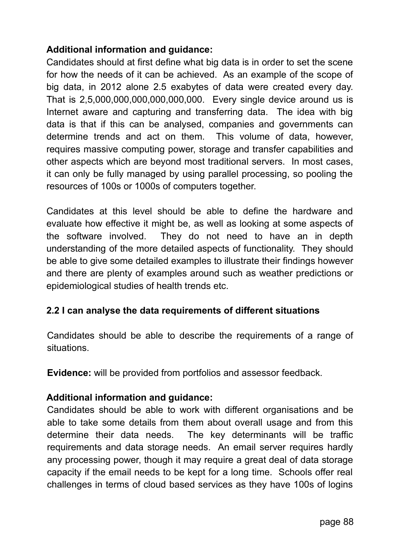## **Additional information and guidance:**

Candidates should at first define what big data is in order to set the scene for how the needs of it can be achieved. As an example of the scope of big data, in 2012 alone 2.5 exabytes of data were created every day. That is 2,5,000,000,000,000,000,000. Every single device around us is Internet aware and capturing and transferring data. The idea with big data is that if this can be analysed, companies and governments can determine trends and act on them. This volume of data, however, requires massive computing power, storage and transfer capabilities and other aspects which are beyond most traditional servers. In most cases, it can only be fully managed by using parallel processing, so pooling the resources of 100s or 1000s of computers together.

Candidates at this level should be able to define the hardware and evaluate how effective it might be, as well as looking at some aspects of the software involved. They do not need to have an in depth understanding of the more detailed aspects of functionality. They should be able to give some detailed examples to illustrate their findings however and there are plenty of examples around such as weather predictions or epidemiological studies of health trends etc.

### **2.2 I can analyse the data requirements of different situations**

Candidates should be able to describe the requirements of a range of situations.

**Evidence:** will be provided from portfolios and assessor feedback.

### **Additional information and guidance:**

Candidates should be able to work with different organisations and be able to take some details from them about overall usage and from this determine their data needs. The key determinants will be traffic requirements and data storage needs. An email server requires hardly any processing power, though it may require a great deal of data storage capacity if the email needs to be kept for a long time. Schools offer real challenges in terms of cloud based services as they have 100s of logins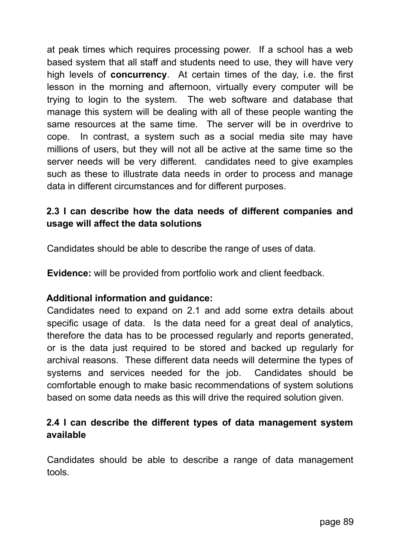at peak times which requires processing power. If a school has a web based system that all staff and students need to use, they will have very high levels of **concurrency**. At certain times of the day, i.e. the first lesson in the morning and afternoon, virtually every computer will be trying to login to the system. The web software and database that manage this system will be dealing with all of these people wanting the same resources at the same time. The server will be in overdrive to cope. In contrast, a system such as a social media site may have millions of users, but they will not all be active at the same time so the server needs will be very different. candidates need to give examples such as these to illustrate data needs in order to process and manage data in different circumstances and for different purposes.

## **2.3 I can describe how the data needs of different companies and usage will affect the data solutions**

Candidates should be able to describe the range of uses of data.

**Evidence:** will be provided from portfolio work and client feedback.

#### **Additional information and guidance:**

Candidates need to expand on 2.1 and add some extra details about specific usage of data. Is the data need for a great deal of analytics, therefore the data has to be processed regularly and reports generated, or is the data just required to be stored and backed up regularly for archival reasons. These different data needs will determine the types of systems and services needed for the job. Candidates should be comfortable enough to make basic recommendations of system solutions based on some data needs as this will drive the required solution given.

### **2.4 I can describe the different types of data management system available**

Candidates should be able to describe a range of data management tools.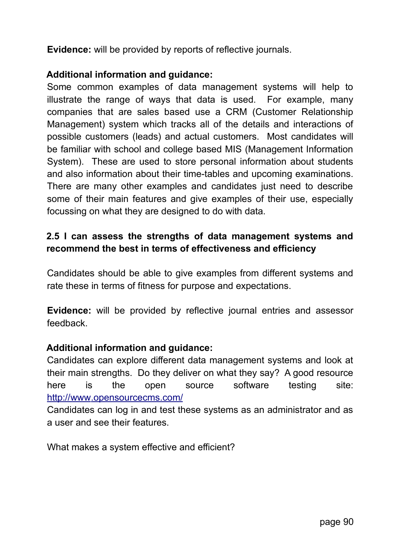**Evidence:** will be provided by reports of reflective journals.

### **Additional information and guidance:**

Some common examples of data management systems will help to illustrate the range of ways that data is used. For example, many companies that are sales based use a CRM (Customer Relationship Management) system which tracks all of the details and interactions of possible customers (leads) and actual customers. Most candidates will be familiar with school and college based MIS (Management Information System). These are used to store personal information about students and also information about their time-tables and upcoming examinations. There are many other examples and candidates just need to describe some of their main features and give examples of their use, especially focussing on what they are designed to do with data.

## **2.5 I can assess the strengths of data management systems and recommend the best in terms of effectiveness and efficiency**

Candidates should be able to give examples from different systems and rate these in terms of fitness for purpose and expectations.

**Evidence:** will be provided by reflective journal entries and assessor feedback.

#### **Additional information and guidance:**

Candidates can explore different data management systems and look at their main strengths. Do they deliver on what they say? A good resource here is the open source software testing site:  [http :// www. opensourcecms. com/](http://www.opensourcecms.com/)

Candidates can log in and test these systems as an administrator and as a user and see their features.

What makes a system effective and efficient?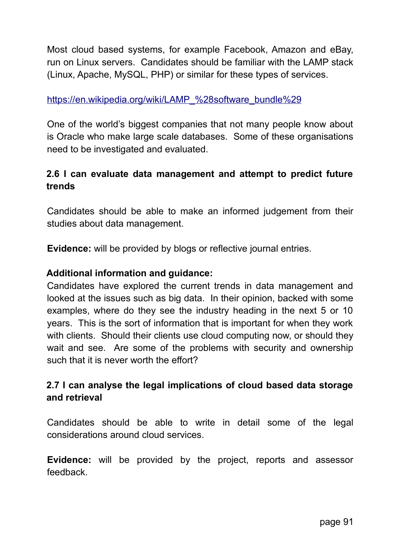Most cloud based systems, for example Facebook, Amazon and eBay, run on Linux servers. Candidates should be familiar with the LAMP stack (Linux, Apache, MySQL, PHP) or similar for these types of services.

#### https://en.wikipedia.org/wiki/LAMP %28 software bundle %29

One of the world's biggest companies that not many people know about is Oracle who make large scale databases. Some of these organisations need to be investigated and evaluated.

## **2.6 I can evaluate data management and attempt to predict future trends**

Candidates should be able to make an informed judgement from their studies about data management.

**Evidence:** will be provided by blogs or reflective journal entries.

### **Additional information and guidance:**

Candidates have explored the current trends in data management and looked at the issues such as big data. In their opinion, backed with some examples, where do they see the industry heading in the next 5 or 10 years. This is the sort of information that is important for when they work with clients. Should their clients use cloud computing now, or should they wait and see. Are some of the problems with security and ownership such that it is never worth the effort?

## **2.7 I can analyse the legal implications of cloud based data storage and retrieval**

Candidates should be able to write in detail some of the legal considerations around cloud services.

**Evidence:** will be provided by the project, reports and assessor feedback.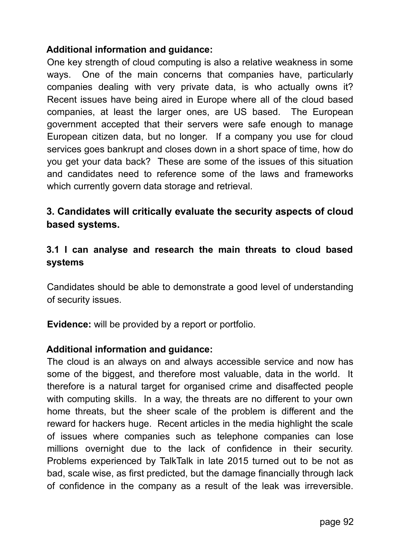### **Additional information and guidance:**

One key strength of cloud computing is also a relative weakness in some ways. One of the main concerns that companies have, particularly companies dealing with very private data, is who actually owns it? Recent issues have being aired in Europe where all of the cloud based companies, at least the larger ones, are US based. The European government accepted that their servers were safe enough to manage European citizen data, but no longer. If a company you use for cloud services goes bankrupt and closes down in a short space of time, how do you get your data back? These are some of the issues of this situation and candidates need to reference some of the laws and frameworks which currently govern data storage and retrieval.

## **3. Candidates will critically evaluate the security aspects of cloud based systems.**

### **3.1 I can analyse and research the main threats to cloud based systems**

Candidates should be able to demonstrate a good level of understanding of security issues.

**Evidence:** will be provided by a report or portfolio.

### **Additional information and guidance:**

The cloud is an always on and always accessible service and now has some of the biggest, and therefore most valuable, data in the world. It therefore is a natural target for organised crime and disaffected people with computing skills. In a way, the threats are no different to your own home threats, but the sheer scale of the problem is different and the reward for hackers huge. Recent articles in the media highlight the scale of issues where companies such as telephone companies can lose millions overnight due to the lack of confidence in their security. Problems experienced by TalkTalk in late 2015 turned out to be not as bad, scale wise, as first predicted, but the damage financially through lack of confidence in the company as a result of the leak was irreversible.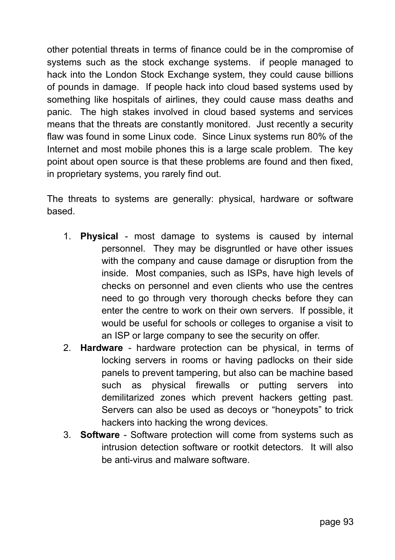other potential threats in terms of finance could be in the compromise of systems such as the stock exchange systems. if people managed to hack into the London Stock Exchange system, they could cause billions of pounds in damage. If people hack into cloud based systems used by something like hospitals of airlines, they could cause mass deaths and panic. The high stakes involved in cloud based systems and services means that the threats are constantly monitored. Just recently a security flaw was found in some Linux code. Since Linux systems run 80% of the Internet and most mobile phones this is a large scale problem. The key point about open source is that these problems are found and then fixed, in proprietary systems, you rarely find out.

The threats to systems are generally: physical, hardware or software based.

- 1. **Physical** most damage to systems is caused by internal personnel. They may be disgruntled or have other issues with the company and cause damage or disruption from the inside. Most companies, such as ISPs, have high levels of checks on personnel and even clients who use the centres need to go through very thorough checks before they can enter the centre to work on their own servers. If possible, it would be useful for schools or colleges to organise a visit to an ISP or large company to see the security on offer.
- 2. **Hardware** hardware protection can be physical, in terms of locking servers in rooms or having padlocks on their side panels to prevent tampering, but also can be machine based such as physical firewalls or putting servers into demilitarized zones which prevent hackers getting past. Servers can also be used as decoys or "honeypots" to trick hackers into hacking the wrong devices.
- 3. **Software** Software protection will come from systems such as intrusion detection software or rootkit detectors. It will also be anti-virus and malware software.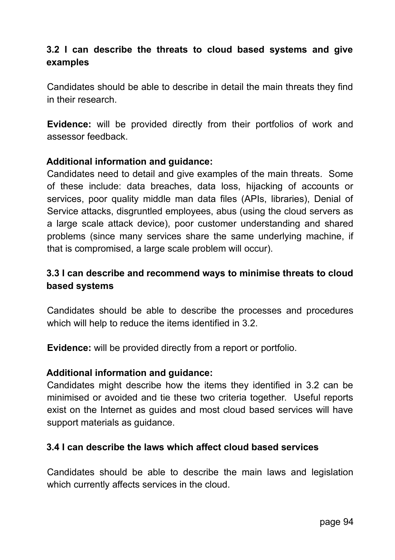## **3.2 I can describe the threats to cloud based systems and give examples**

Candidates should be able to describe in detail the main threats they find in their research.

**Evidence:** will be provided directly from their portfolios of work and assessor feedback.

#### **Additional information and guidance:**

Candidates need to detail and give examples of the main threats. Some of these include: data breaches, data loss, hijacking of accounts or services, poor quality middle man data files (APIs, libraries), Denial of Service attacks, disgruntled employees, abus (using the cloud servers as a large scale attack device), poor customer understanding and shared problems (since many services share the same underlying machine, if that is compromised, a large scale problem will occur).

## **3.3 I can describe and recommend ways to minimise threats to cloud based systems**

Candidates should be able to describe the processes and procedures which will help to reduce the items identified in 3.2.

**Evidence:** will be provided directly from a report or portfolio.

#### **Additional information and guidance:**

Candidates might describe how the items they identified in 3.2 can be minimised or avoided and tie these two criteria together. Useful reports exist on the Internet as guides and most cloud based services will have support materials as guidance.

#### **3.4 I can describe the laws which affect cloud based services**

Candidates should be able to describe the main laws and legislation which currently affects services in the cloud.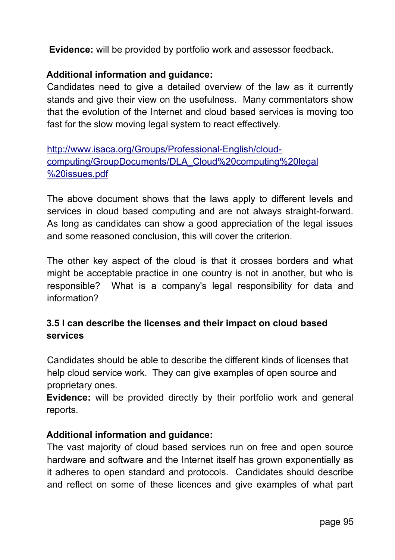**Evidence:** will be provided by portfolio work and assessor feedback.

### **Additional information and guidance:**

Candidates need to give a detailed overview of the law as it currently stands and give their view on the usefulness. Many commentators show that the evolution of the Internet and cloud based services is moving too fast for the slow moving legal system to react effectively.

http://www.isaca.org/Groups/Professional-English/cloudcomputing/GroupDocuments/DLA Cloud%20 computing %20 legal  [%20 issues. pdf](http://www.isaca.org/Groups/Professional-English/cloud-computing/GroupDocuments/DLA_Cloud%20computing%20legal%20issues.pdf)

The above document shows that the laws apply to different levels and services in cloud based computing and are not always straight-forward. As long as candidates can show a good appreciation of the legal issues and some reasoned conclusion, this will cover the criterion.

The other key aspect of the cloud is that it crosses borders and what might be acceptable practice in one country is not in another, but who is responsible? What is a company's legal responsibility for data and information?

## **3.5 I can describe the licenses and their impact on cloud based services**

Candidates should be able to describe the different kinds of licenses that help cloud service work. They can give examples of open source and proprietary ones.

**Evidence:** will be provided directly by their portfolio work and general reports.

### **Additional information and guidance:**

The vast majority of cloud based services run on free and open source hardware and software and the Internet itself has grown exponentially as it adheres to open standard and protocols. Candidates should describe and reflect on some of these licences and give examples of what part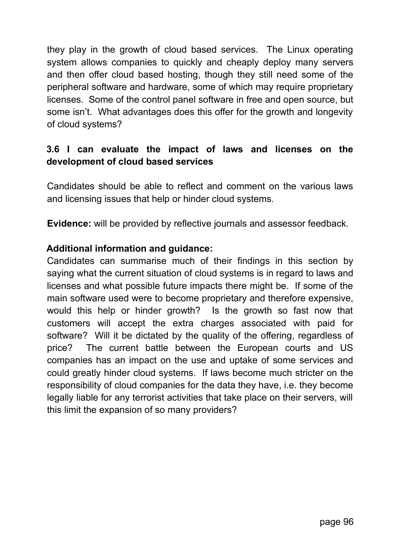they play in the growth of cloud based services. The Linux operating system allows companies to quickly and cheaply deploy many servers and then offer cloud based hosting, though they still need some of the peripheral software and hardware, some of which may require proprietary licenses. Some of the control panel software in free and open source, but some isn't. What advantages does this offer for the growth and longevity of cloud systems?

## **3.6 I can evaluate the impact of laws and licenses on the development of cloud based services**

Candidates should be able to reflect and comment on the various laws and licensing issues that help or hinder cloud systems.

**Evidence:** will be provided by reflective journals and assessor feedback.

#### **Additional information and guidance:**

Candidates can summarise much of their findings in this section by saying what the current situation of cloud systems is in regard to laws and licenses and what possible future impacts there might be. If some of the main software used were to become proprietary and therefore expensive, would this help or hinder growth? Is the growth so fast now that customers will accept the extra charges associated with paid for software? Will it be dictated by the quality of the offering, regardless of price? The current battle between the European courts and US companies has an impact on the use and uptake of some services and could greatly hinder cloud systems. If laws become much stricter on the responsibility of cloud companies for the data they have, i.e. they become legally liable for any terrorist activities that take place on their servers, will this limit the expansion of so many providers?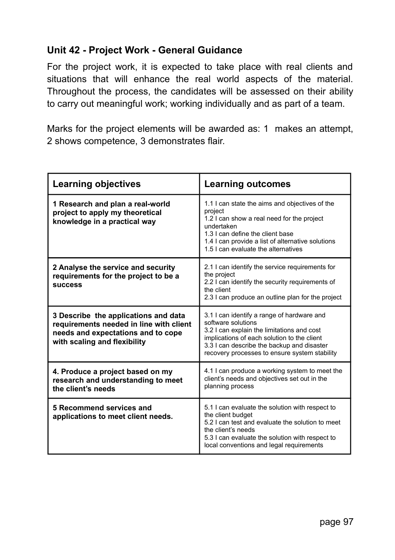## **Unit 42 - Project Work - General Guidance**

For the project work, it is expected to take place with real clients and situations that will enhance the real world aspects of the material. Throughout the process, the candidates will be assessed on their ability to carry out meaningful work; working individually and as part of a team.

Marks for the project elements will be awarded as: 1 makes an attempt, 2 shows competence, 3 demonstrates flair.

| <b>Learning objectives</b>                                                                                                                            | <b>Learning outcomes</b>                                                                                                                                                                                                                                     |  |
|-------------------------------------------------------------------------------------------------------------------------------------------------------|--------------------------------------------------------------------------------------------------------------------------------------------------------------------------------------------------------------------------------------------------------------|--|
| 1 Research and plan a real-world<br>project to apply my theoretical<br>knowledge in a practical way                                                   | 1.1 I can state the aims and objectives of the<br>project<br>1.2 I can show a real need for the project<br>undertaken<br>1.3 I can define the client base<br>1.4 I can provide a list of alternative solutions<br>1.5 Lcan evaluate the alternatives         |  |
| 2 Analyse the service and security<br>requirements for the project to be a<br><b>SUCCESS</b>                                                          | 2.1 I can identify the service requirements for<br>the project<br>2.2 I can identify the security requirements of<br>the client<br>2.3 I can produce an outline plan for the project                                                                         |  |
| 3 Describe the applications and data<br>requirements needed in line with client<br>needs and expectations and to cope<br>with scaling and flexibility | 3.1 I can identify a range of hardware and<br>software solutions<br>3.2 I can explain the limitations and cost<br>implications of each solution to the client<br>3.3 I can describe the backup and disaster<br>recovery processes to ensure system stability |  |
| 4. Produce a project based on my<br>research and understanding to meet<br>the client's needs                                                          | 4.1 I can produce a working system to meet the<br>client's needs and objectives set out in the<br>planning process                                                                                                                                           |  |
| 5 Recommend services and<br>applications to meet client needs.                                                                                        | 5.1 I can evaluate the solution with respect to<br>the client budget<br>5.2 I can test and evaluate the solution to meet<br>the client's needs<br>5.3 I can evaluate the solution with respect to<br>local conventions and legal requirements                |  |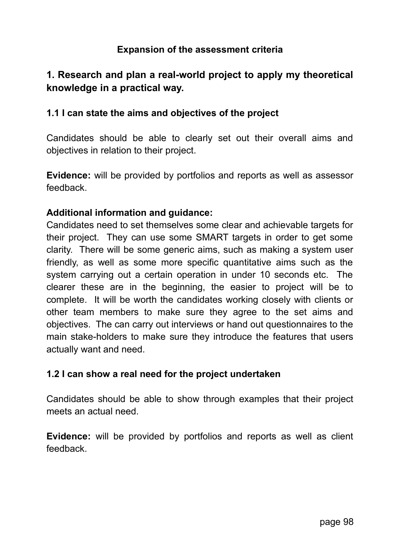### **Expansion of the assessment criteria**

## **1. Research and plan a real-world project to apply my theoretical knowledge in a practical way.**

#### **1.1 I can state the aims and objectives of the project**

Candidates should be able to clearly set out their overall aims and objectives in relation to their project.

**Evidence:** will be provided by portfolios and reports as well as assessor feedback.

#### **Additional information and guidance:**

Candidates need to set themselves some clear and achievable targets for their project. They can use some SMART targets in order to get some clarity. There will be some generic aims, such as making a system user friendly, as well as some more specific quantitative aims such as the system carrying out a certain operation in under 10 seconds etc. The clearer these are in the beginning, the easier to project will be to complete. It will be worth the candidates working closely with clients or other team members to make sure they agree to the set aims and objectives. The can carry out interviews or hand out questionnaires to the main stake-holders to make sure they introduce the features that users actually want and need.

#### **1.2 I can show a real need for the project undertaken**

Candidates should be able to show through examples that their project meets an actual need.

**Evidence:** will be provided by portfolios and reports as well as client feedback.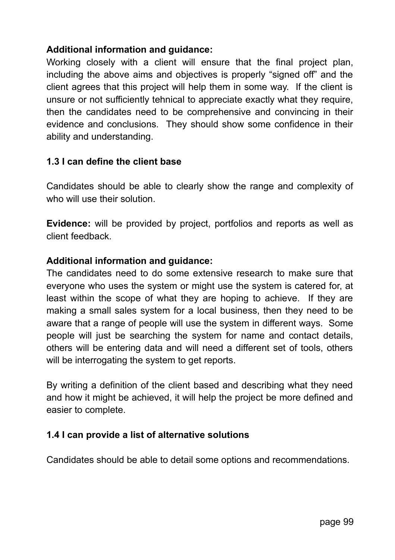### **Additional information and guidance:**

Working closely with a client will ensure that the final project plan, including the above aims and objectives is properly "signed off" and the client agrees that this project will help them in some way. If the client is unsure or not sufficiently tehnical to appreciate exactly what they require, then the candidates need to be comprehensive and convincing in their evidence and conclusions. They should show some confidence in their ability and understanding.

### **1.3 I can define the client base**

Candidates should be able to clearly show the range and complexity of who will use their solution.

**Evidence:** will be provided by project, portfolios and reports as well as client feedback.

### **Additional information and guidance:**

The candidates need to do some extensive research to make sure that everyone who uses the system or might use the system is catered for, at least within the scope of what they are hoping to achieve. If they are making a small sales system for a local business, then they need to be aware that a range of people will use the system in different ways. Some people will just be searching the system for name and contact details, others will be entering data and will need a different set of tools, others will be interrogating the system to get reports.

By writing a definition of the client based and describing what they need and how it might be achieved, it will help the project be more defined and easier to complete.

### **1.4 I can provide a list of alternative solutions**

Candidates should be able to detail some options and recommendations.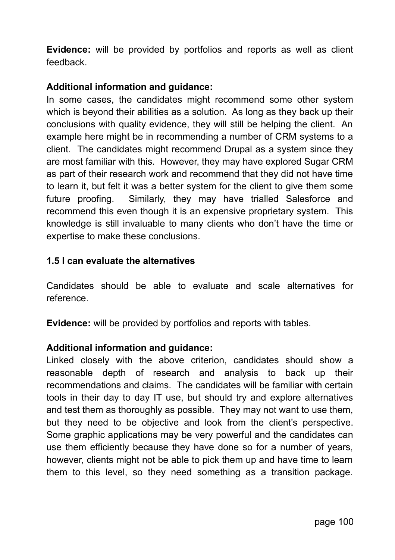**Evidence:** will be provided by portfolios and reports as well as client feedback.

### **Additional information and guidance:**

In some cases, the candidates might recommend some other system which is beyond their abilities as a solution. As long as they back up their conclusions with quality evidence, they will still be helping the client. An example here might be in recommending a number of CRM systems to a client. The candidates might recommend Drupal as a system since they are most familiar with this. However, they may have explored Sugar CRM as part of their research work and recommend that they did not have time to learn it, but felt it was a better system for the client to give them some future proofing. Similarly, they may have trialled Salesforce and recommend this even though it is an expensive proprietary system. This knowledge is still invaluable to many clients who don't have the time or expertise to make these conclusions.

#### **1.5 I can evaluate the alternatives**

Candidates should be able to evaluate and scale alternatives for reference.

**Evidence:** will be provided by portfolios and reports with tables.

#### **Additional information and guidance:**

Linked closely with the above criterion, candidates should show a reasonable depth of research and analysis to back up their recommendations and claims. The candidates will be familiar with certain tools in their day to day IT use, but should try and explore alternatives and test them as thoroughly as possible. They may not want to use them, but they need to be objective and look from the client's perspective. Some graphic applications may be very powerful and the candidates can use them efficiently because they have done so for a number of years, however, clients might not be able to pick them up and have time to learn them to this level, so they need something as a transition package.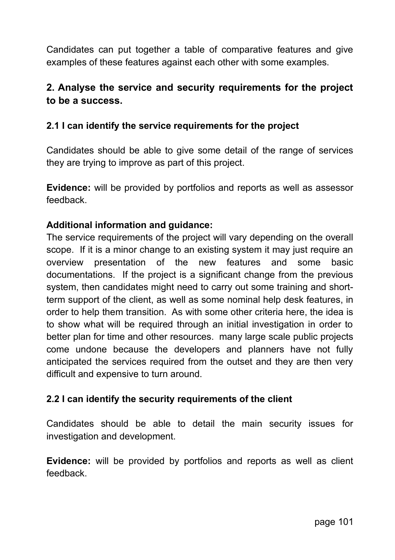Candidates can put together a table of comparative features and give examples of these features against each other with some examples.

## **2. Analyse the service and security requirements for the project to be a success.**

### **2.1 I can identify the service requirements for the project**

Candidates should be able to give some detail of the range of services they are trying to improve as part of this project.

**Evidence:** will be provided by portfolios and reports as well as assessor feedback.

#### **Additional information and guidance:**

The service requirements of the project will vary depending on the overall scope. If it is a minor change to an existing system it may just require an overview presentation of the new features and some basic documentations. If the project is a significant change from the previous system, then candidates might need to carry out some training and shortterm support of the client, as well as some nominal help desk features, in order to help them transition. As with some other criteria here, the idea is to show what will be required through an initial investigation in order to better plan for time and other resources. many large scale public projects come undone because the developers and planners have not fully anticipated the services required from the outset and they are then very difficult and expensive to turn around.

#### **2.2 I can identify the security requirements of the client**

Candidates should be able to detail the main security issues for investigation and development.

**Evidence:** will be provided by portfolios and reports as well as client feedback.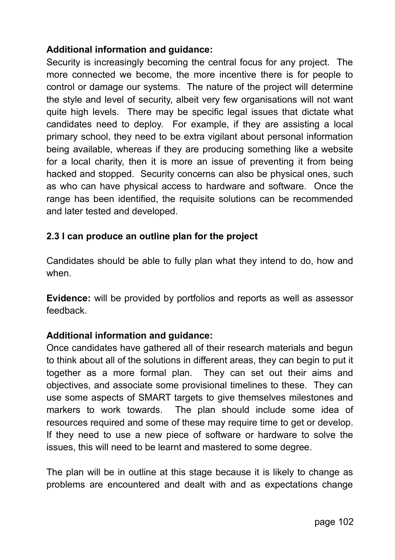## **Additional information and guidance:**

Security is increasingly becoming the central focus for any project. The more connected we become, the more incentive there is for people to control or damage our systems. The nature of the project will determine the style and level of security, albeit very few organisations will not want quite high levels. There may be specific legal issues that dictate what candidates need to deploy. For example, if they are assisting a local primary school, they need to be extra vigilant about personal information being available, whereas if they are producing something like a website for a local charity, then it is more an issue of preventing it from being hacked and stopped. Security concerns can also be physical ones, such as who can have physical access to hardware and software. Once the range has been identified, the requisite solutions can be recommended and later tested and developed.

## **2.3 I can produce an outline plan for the project**

Candidates should be able to fully plan what they intend to do, how and when.

**Evidence:** will be provided by portfolios and reports as well as assessor feedback.

### **Additional information and guidance:**

Once candidates have gathered all of their research materials and begun to think about all of the solutions in different areas, they can begin to put it together as a more formal plan. They can set out their aims and objectives, and associate some provisional timelines to these. They can use some aspects of SMART targets to give themselves milestones and markers to work towards. The plan should include some idea of resources required and some of these may require time to get or develop. If they need to use a new piece of software or hardware to solve the issues, this will need to be learnt and mastered to some degree.

The plan will be in outline at this stage because it is likely to change as problems are encountered and dealt with and as expectations change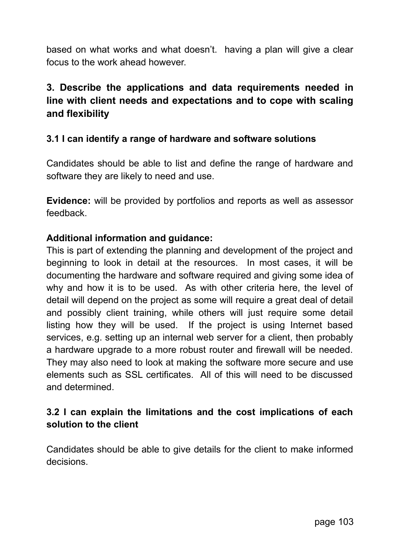based on what works and what doesn't. having a plan will give a clear focus to the work ahead however.

# **3. Describe the applications and data requirements needed in line with client needs and expectations and to cope with scaling and flexibility**

### **3.1 I can identify a range of hardware and software solutions**

Candidates should be able to list and define the range of hardware and software they are likely to need and use.

**Evidence:** will be provided by portfolios and reports as well as assessor feedback.

#### **Additional information and guidance:**

This is part of extending the planning and development of the project and beginning to look in detail at the resources. In most cases, it will be documenting the hardware and software required and giving some idea of why and how it is to be used. As with other criteria here, the level of detail will depend on the project as some will require a great deal of detail and possibly client training, while others will just require some detail listing how they will be used. If the project is using Internet based services, e.g. setting up an internal web server for a client, then probably a hardware upgrade to a more robust router and firewall will be needed. They may also need to look at making the software more secure and use elements such as SSL certificates. All of this will need to be discussed and determined.

### **3.2 I can explain the limitations and the cost implications of each solution to the client**

Candidates should be able to give details for the client to make informed decisions.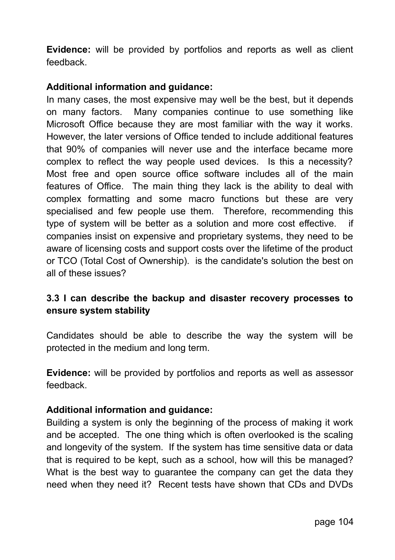**Evidence:** will be provided by portfolios and reports as well as client feedback.

### **Additional information and guidance:**

In many cases, the most expensive may well be the best, but it depends on many factors. Many companies continue to use something like Microsoft Office because they are most familiar with the way it works. However, the later versions of Office tended to include additional features that 90% of companies will never use and the interface became more complex to reflect the way people used devices. Is this a necessity? Most free and open source office software includes all of the main features of Office. The main thing they lack is the ability to deal with complex formatting and some macro functions but these are very specialised and few people use them. Therefore, recommending this type of system will be better as a solution and more cost effective. if companies insist on expensive and proprietary systems, they need to be aware of licensing costs and support costs over the lifetime of the product or TCO (Total Cost of Ownership). is the candidate's solution the best on all of these issues?

## **3.3 I can describe the backup and disaster recovery processes to ensure system stability**

Candidates should be able to describe the way the system will be protected in the medium and long term.

**Evidence:** will be provided by portfolios and reports as well as assessor feedback.

#### **Additional information and guidance:**

Building a system is only the beginning of the process of making it work and be accepted. The one thing which is often overlooked is the scaling and longevity of the system. If the system has time sensitive data or data that is required to be kept, such as a school, how will this be managed? What is the best way to guarantee the company can get the data they need when they need it? Recent tests have shown that CDs and DVDs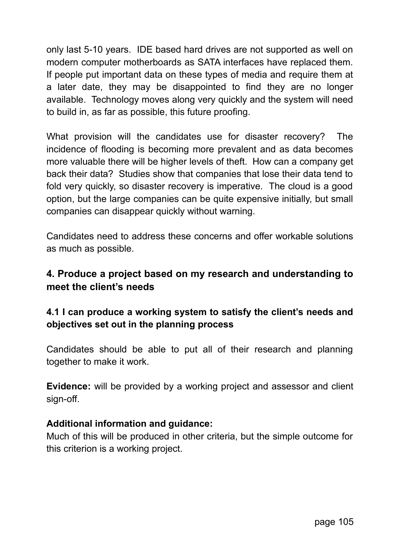only last 5-10 years. IDE based hard drives are not supported as well on modern computer motherboards as SATA interfaces have replaced them. If people put important data on these types of media and require them at a later date, they may be disappointed to find they are no longer available. Technology moves along very quickly and the system will need to build in, as far as possible, this future proofing.

What provision will the candidates use for disaster recovery? The incidence of flooding is becoming more prevalent and as data becomes more valuable there will be higher levels of theft. How can a company get back their data? Studies show that companies that lose their data tend to fold very quickly, so disaster recovery is imperative. The cloud is a good option, but the large companies can be quite expensive initially, but small companies can disappear quickly without warning.

Candidates need to address these concerns and offer workable solutions as much as possible.

## **4. Produce a project based on my research and understanding to meet the client's needs**

## **4.1 I can produce a working system to satisfy the client's needs and objectives set out in the planning process**

Candidates should be able to put all of their research and planning together to make it work.

**Evidence:** will be provided by a working project and assessor and client sign-off.

#### **Additional information and guidance:**

Much of this will be produced in other criteria, but the simple outcome for this criterion is a working project.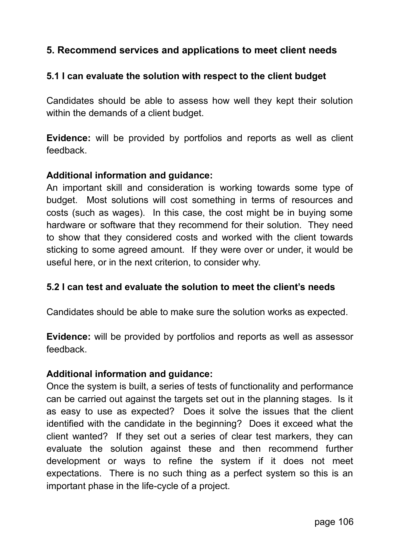## **5. Recommend services and applications to meet client needs**

### **5.1 I can evaluate the solution with respect to the client budget**

Candidates should be able to assess how well they kept their solution within the demands of a client budget.

**Evidence:** will be provided by portfolios and reports as well as client feedback.

#### **Additional information and guidance:**

An important skill and consideration is working towards some type of budget. Most solutions will cost something in terms of resources and costs (such as wages). In this case, the cost might be in buying some hardware or software that they recommend for their solution. They need to show that they considered costs and worked with the client towards sticking to some agreed amount. If they were over or under, it would be useful here, or in the next criterion, to consider why.

#### **5.2 I can test and evaluate the solution to meet the client's needs**

Candidates should be able to make sure the solution works as expected.

**Evidence:** will be provided by portfolios and reports as well as assessor feedback.

#### **Additional information and guidance:**

Once the system is built, a series of tests of functionality and performance can be carried out against the targets set out in the planning stages. Is it as easy to use as expected? Does it solve the issues that the client identified with the candidate in the beginning? Does it exceed what the client wanted? If they set out a series of clear test markers, they can evaluate the solution against these and then recommend further development or ways to refine the system if it does not meet expectations. There is no such thing as a perfect system so this is an important phase in the life-cycle of a project.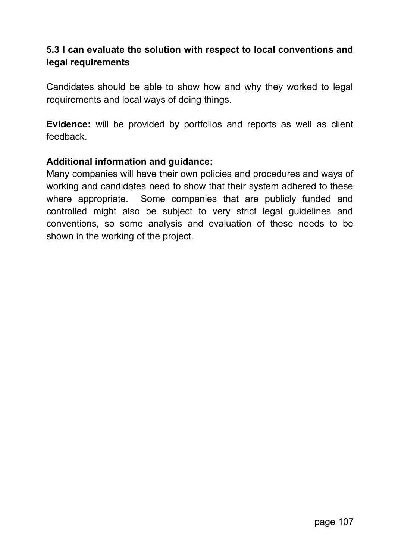## **5.3 I can evaluate the solution with respect to local conventions and legal requirements**

Candidates should be able to show how and why they worked to legal requirements and local ways of doing things.

**Evidence:** will be provided by portfolios and reports as well as client feedback.

#### **Additional information and guidance:**

Many companies will have their own policies and procedures and ways of working and candidates need to show that their system adhered to these where appropriate. Some companies that are publicly funded and controlled might also be subject to very strict legal guidelines and conventions, so some analysis and evaluation of these needs to be shown in the working of the project.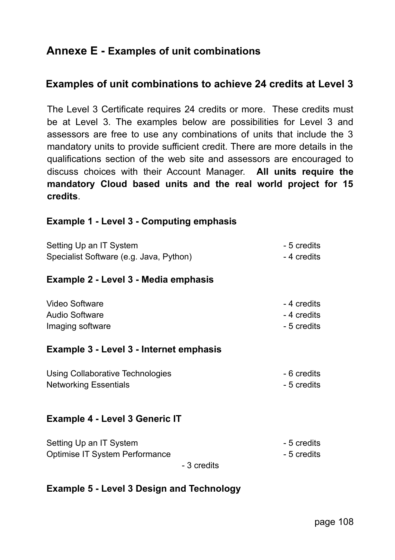# **Annexe E - Examples of unit combinations**

## **Examples of unit combinations to achieve 24 credits at Level 3**

The Level 3 Certificate requires 24 credits or more. These credits must be at Level 3. The examples below are possibilities for Level 3 and assessors are free to use any combinations of units that include the 3 mandatory units to provide sufficient credit. There are more details in the qualifications section of the web site and assessors are encouraged to discuss choices with their Account Manager. **All units require the mandatory Cloud based units and the real world project for 15 credits**.

#### **Example 1 - Level 3 - Computing emphasis**

| Setting Up an IT System                 | - 5 credits |
|-----------------------------------------|-------------|
| Specialist Software (e.g. Java, Python) | - 4 credits |
| Example 2 - Level 3 - Media emphasis    |             |
| Video Software                          | - 4 credits |
| Audio Software                          | - 4 credits |
| Imaging software                        | - 5 credits |
| Example 3 - Level 3 - Internet emphasis |             |
| Using Collaborative Technologies        | - 6 credits |
| <b>Networking Essentials</b>            | - 5 credits |

#### **Example 4 - Level 3 Generic IT**

| Setting Up an IT System        | - 5 credits |
|--------------------------------|-------------|
| Optimise IT System Performance | - 5 credits |

- 3 credits

#### **Example 5 - Level 3 Design and Technology**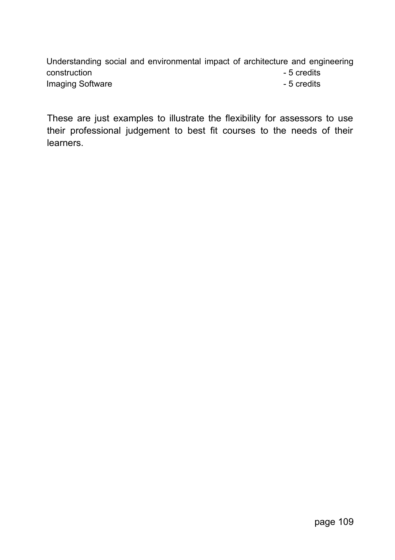Understanding social and environmental impact of architecture and engineering construction - 5 credits Imaging Software **Contract Contract Contract Contract Contract Contract Contract Contract Contract Contract Contract Contract Contract Contract Contract Contract Contract Contract Contract Contract Contract Contract Contra** 

These are just examples to illustrate the flexibility for assessors to use their professional judgement to best fit courses to the needs of their learners.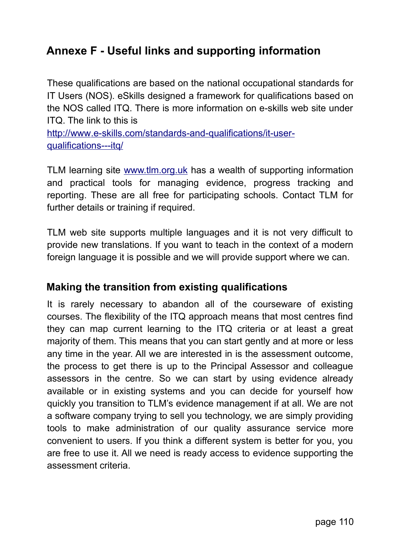## **Annexe F - Useful links and supporting information**

These qualifications are based on the national occupational standards for IT Users (NOS). eSkills designed a framework for qualifications based on the NOS called ITQ. There is more information on e-skills web site under ITQ. The link to this is

http://www.e-skills.com/standards-and-qualifications/it-userqualifications--- itq/

TLM learning site [www.tlm.org.uk](http://www.tlm.org.uk/) has a wealth of supporting information and practical tools for managing evidence, progress tracking and reporting. These are all free for participating schools. Contact TLM for further details or training if required.

TLM web site supports multiple languages and it is not very difficult to provide new translations. If you want to teach in the context of a modern foreign language it is possible and we will provide support where we can.

## **Making the transition from existing qualifications**

It is rarely necessary to abandon all of the courseware of existing courses. The flexibility of the ITQ approach means that most centres find they can map current learning to the ITQ criteria or at least a great majority of them. This means that you can start gently and at more or less any time in the year. All we are interested in is the assessment outcome, the process to get there is up to the Principal Assessor and colleague assessors in the centre. So we can start by using evidence already available or in existing systems and you can decide for yourself how quickly you transition to TLM's evidence management if at all. We are not a software company trying to sell you technology, we are simply providing tools to make administration of our quality assurance service more convenient to users. If you think a different system is better for you, you are free to use it. All we need is ready access to evidence supporting the assessment criteria.